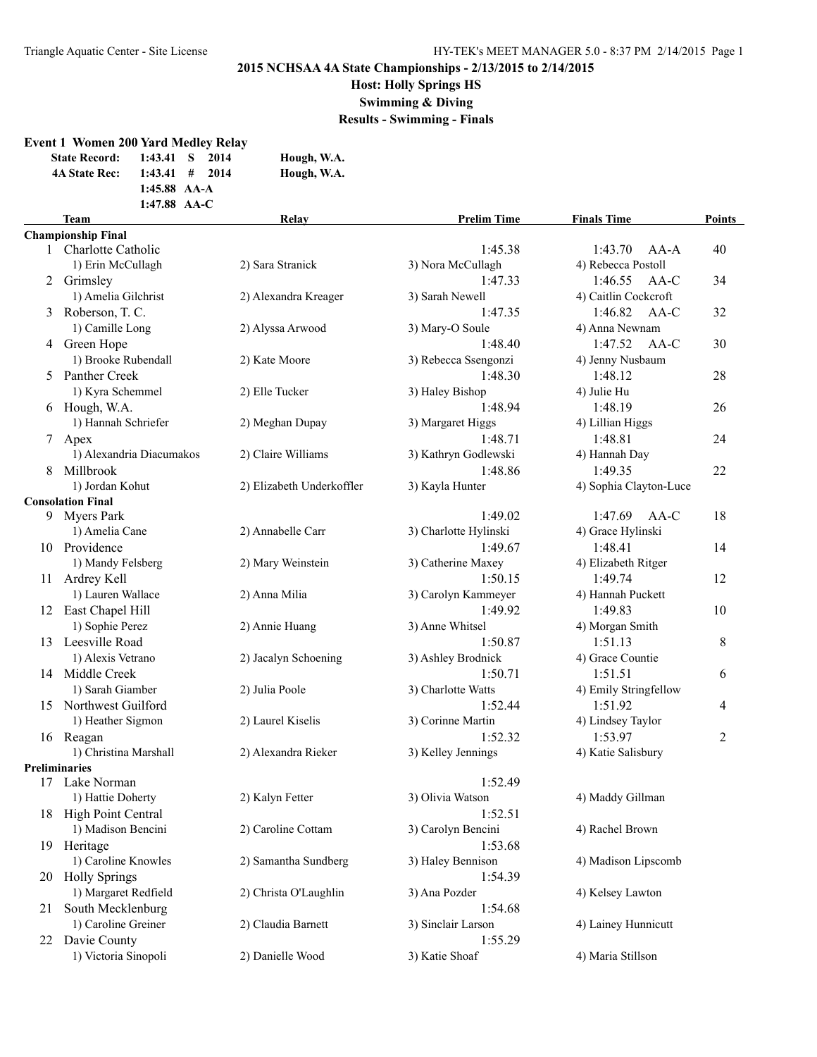**Host: Holly Springs HS**

**Swimming & Diving**

**Results - Swimming - Finals**

|    | <b>Event 1 Women 200 Yard Medley Relay</b><br><b>State Record:</b><br><b>4A State Rec:</b> | $1:43.41$ S<br>$1:43.41$ #<br>1:45.88 AA-A<br>1:47.88 AA-C | 2014<br>2014 | Hough, W.A.<br>Hough, W.A. |                       |                        |               |
|----|--------------------------------------------------------------------------------------------|------------------------------------------------------------|--------------|----------------------------|-----------------------|------------------------|---------------|
|    | Team                                                                                       |                                                            |              | Relay                      | <b>Prelim Time</b>    | <b>Finals Time</b>     | <b>Points</b> |
|    | <b>Championship Final</b>                                                                  |                                                            |              |                            |                       |                        |               |
|    | 1 Charlotte Catholic                                                                       |                                                            |              |                            | 1:45.38               | 1:43.70<br>$AA-A$      | 40            |
|    | 1) Erin McCullagh                                                                          |                                                            |              | 2) Sara Stranick           | 3) Nora McCullagh     | 4) Rebecca Postoll     |               |
|    | 2 Grimsley                                                                                 |                                                            |              |                            | 1:47.33               | AA-C<br>1:46.55        | 34            |
|    | 1) Amelia Gilchrist                                                                        |                                                            |              | 2) Alexandra Kreager       | 3) Sarah Newell       | 4) Caitlin Cockcroft   |               |
| 3  | Roberson, T. C.                                                                            |                                                            |              |                            | 1:47.35               | 1:46.82<br>AA-C        | 32            |
|    | 1) Camille Long                                                                            |                                                            |              | 2) Alyssa Arwood           | 3) Mary-O Soule       | 4) Anna Newnam         |               |
|    | 4 Green Hope                                                                               |                                                            |              |                            | 1:48.40               | 1:47.52<br>AA-C        | 30            |
|    | 1) Brooke Rubendall                                                                        |                                                            |              | 2) Kate Moore              | 3) Rebecca Ssengonzi  | 4) Jenny Nusbaum       |               |
| 5  | Panther Creek                                                                              |                                                            |              |                            | 1:48.30               | 1:48.12                | 28            |
|    | 1) Kyra Schemmel                                                                           |                                                            |              | 2) Elle Tucker             | 3) Haley Bishop       | 4) Julie Hu            |               |
|    | 6 Hough, W.A.                                                                              |                                                            |              |                            | 1:48.94               | 1:48.19                | 26            |
|    | 1) Hannah Schriefer                                                                        |                                                            |              | 2) Meghan Dupay            | 3) Margaret Higgs     | 4) Lillian Higgs       |               |
|    | 7 Apex                                                                                     |                                                            |              |                            | 1:48.71               | 1:48.81                | 24            |
|    | 1) Alexandria Diacumakos                                                                   |                                                            |              | 2) Claire Williams         | 3) Kathryn Godlewski  | 4) Hannah Day          |               |
| 8  | Millbrook                                                                                  |                                                            |              |                            | 1:48.86               | 1:49.35                | 22            |
|    | 1) Jordan Kohut                                                                            |                                                            |              | 2) Elizabeth Underkoffler  | 3) Kayla Hunter       | 4) Sophia Clayton-Luce |               |
|    | <b>Consolation Final</b>                                                                   |                                                            |              |                            |                       |                        |               |
|    | 9 Myers Park                                                                               |                                                            |              |                            | 1:49.02               | 1:47.69<br>AA-C        | 18            |
|    | 1) Amelia Cane                                                                             |                                                            |              | 2) Annabelle Carr          | 3) Charlotte Hylinski | 4) Grace Hylinski      |               |
|    | 10 Providence                                                                              |                                                            |              |                            | 1:49.67               | 1:48.41                | 14            |
|    | 1) Mandy Felsberg                                                                          |                                                            |              | 2) Mary Weinstein          | 3) Catherine Maxey    | 4) Elizabeth Ritger    |               |
|    | 11 Ardrey Kell                                                                             |                                                            |              |                            | 1:50.15               | 1:49.74                | 12            |
|    | 1) Lauren Wallace                                                                          |                                                            |              | 2) Anna Milia              | 3) Carolyn Kammeyer   | 4) Hannah Puckett      |               |
|    | 12 East Chapel Hill                                                                        |                                                            |              |                            | 1:49.92               | 1:49.83                | 10            |
|    | 1) Sophie Perez                                                                            |                                                            |              | 2) Annie Huang             | 3) Anne Whitsel       | 4) Morgan Smith        |               |
| 13 | Leesville Road                                                                             |                                                            |              |                            | 1:50.87               | 1:51.13                | 8             |
|    | 1) Alexis Vetrano                                                                          |                                                            |              | 2) Jacalyn Schoening       | 3) Ashley Brodnick    | 4) Grace Countie       |               |
|    | 14 Middle Creek                                                                            |                                                            |              |                            | 1:50.71               | 1:51.51                | 6             |
|    | 1) Sarah Giamber                                                                           |                                                            |              | 2) Julia Poole             | 3) Charlotte Watts    | 4) Emily Stringfellow  |               |
| 15 | Northwest Guilford                                                                         |                                                            |              |                            | 1:52.44               | 1:51.92                | 4             |
|    | 1) Heather Sigmon                                                                          |                                                            |              | 2) Laurel Kiselis          | 3) Corinne Martin     | 4) Lindsey Taylor      |               |
|    | 16 Reagan                                                                                  |                                                            |              |                            | 1:52.32               | 1:53.97                | 2             |
|    | 1) Christina Marshall                                                                      |                                                            |              | 2) Alexandra Rieker        | 3) Kelley Jennings    | 4) Katie Salisbury     |               |
|    | <b>Preliminaries</b>                                                                       |                                                            |              |                            |                       |                        |               |
|    | 17 Lake Norman                                                                             |                                                            |              |                            | 1:52.49               |                        |               |
|    | 1) Hattie Doherty                                                                          |                                                            |              | 2) Kalyn Fetter            | 3) Olivia Watson      | 4) Maddy Gillman       |               |
| 18 | High Point Central                                                                         |                                                            |              |                            | 1:52.51               |                        |               |
|    | 1) Madison Bencini                                                                         |                                                            |              | 2) Caroline Cottam         | 3) Carolyn Bencini    | 4) Rachel Brown        |               |
|    | 19 Heritage                                                                                |                                                            |              |                            | 1:53.68               |                        |               |
|    | 1) Caroline Knowles                                                                        |                                                            |              | 2) Samantha Sundberg       | 3) Haley Bennison     | 4) Madison Lipscomb    |               |
|    | 20 Holly Springs                                                                           |                                                            |              |                            | 1:54.39               |                        |               |
|    | 1) Margaret Redfield                                                                       |                                                            |              | 2) Christa O'Laughlin      | 3) Ana Pozder         | 4) Kelsey Lawton       |               |
| 21 | South Mecklenburg                                                                          |                                                            |              |                            | 1:54.68               |                        |               |
|    | 1) Caroline Greiner                                                                        |                                                            |              | 2) Claudia Barnett         | 3) Sinclair Larson    | 4) Lainey Hunnicutt    |               |
|    | 22 Davie County                                                                            |                                                            |              |                            | 1:55.29               |                        |               |
|    | 1) Victoria Sinopoli                                                                       |                                                            |              | 2) Danielle Wood           | 3) Katie Shoaf        | 4) Maria Stillson      |               |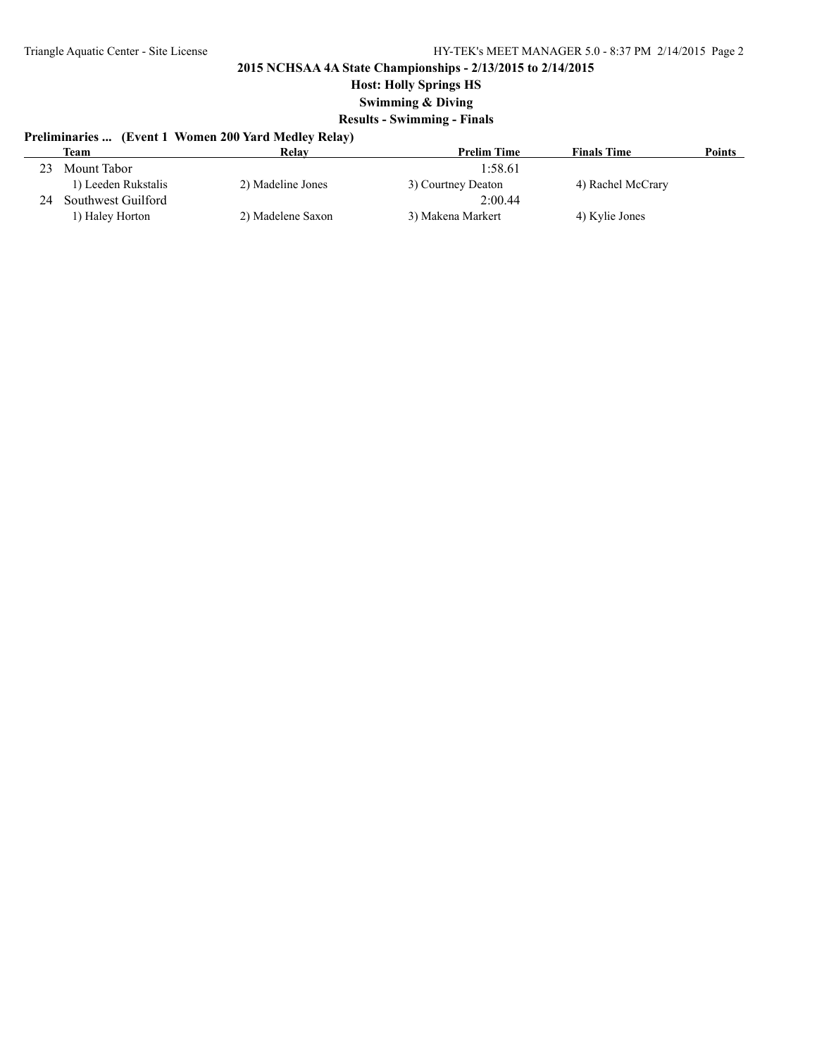## **Host: Holly Springs HS**

**Swimming & Diving**

## **Results - Swimming - Finals**

# **Preliminaries ... (Event 1 Women 200 Yard Medley Relay)**

|    | Team                | Relav             | <b>Prelim Time</b> | <b>Finals Time</b> | <b>Points</b> |
|----|---------------------|-------------------|--------------------|--------------------|---------------|
| 23 | Mount Tabor         |                   | 1:58.61            |                    |               |
|    | 1) Leeden Rukstalis | 2) Madeline Jones | 3) Courtney Deaton | 4) Rachel McCrary  |               |
| 24 | Southwest Guilford  |                   | 2:00.44            |                    |               |
|    | 1) Haley Horton     | 2) Madelene Saxon | 3) Makena Markert  | 4) Kylie Jones     |               |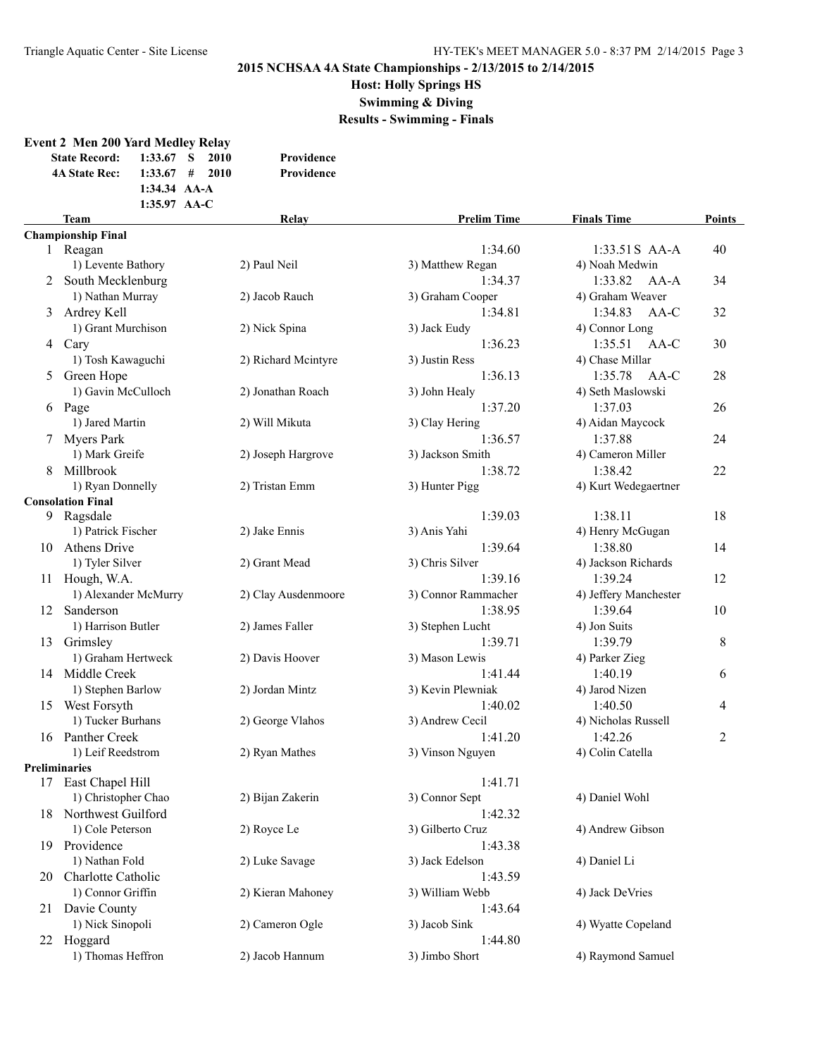**Host: Holly Springs HS**

**Swimming & Diving**

**Results - Swimming - Finals**

### **Event 2 Men 200 Yard Medley Relay State Record: 1:33.67 S 2010 Providence 4A State Rec: 1:33.67 # 2010 Providence 1:34.34 AA-A 1:35.97 AA-C Team Relay Prelim Time Finals Time Points Championship Final** 1:33.51S AA-A 40 1) Levente Bathory 2) Paul Neil 3) Matthew Regan 4) Noah Medwin 2 South Mecklenburg 1:34.37 1:33.82 AA-A 34 1) Nathan Murray 2) Jacob Rauch 3) Graham Cooper 4) Graham Weaver 3 Ardrey Kell 1:34.81 1:34.83 AA-C 32 1) Grant Murchison 2) Nick Spina 3) Jack Eudy 4) Connor Long 4 Cary 1:36.23 1:35.51 AA-C 30 1) Tosh Kawaguchi 2) Richard Mcintyre 3) Justin Ress 4) Chase Millar 5 Green Hope 1:36.13 1:35.78 AA-C 28 1) Gavin McCulloch 2) Jonathan Roach 3) John Healy 4) Seth Maslowski 6 Page 1:37.20 1:37.03 26 1) Jared Martin 2) Will Mikuta 3) Clay Hering 4) Aidan Maycock 7 Myers Park 1:36.57 1:37.88 24 1) Mark Greife 2) Joseph Hargrove 3) Jackson Smith 4) Cameron Miller 8 Millbrook 1:38.72 1:38.42 22 1) Ryan Donnelly 2) Tristan Emm 3) Hunter Pigg 4) Kurt Wedegaertner **Consolation Final** 9 Ragsdale 1:39.03 1:38.11 18 1) Patrick Fischer 2) Jake Ennis 3) Anis Yahi 4) Henry McGugan 10 Athens Drive 1:39.64 1:38.80 14 1) Tyler Silver 2) Grant Mead 3) Chris Silver 4) Jackson Richards 11 Hough, W.A. 1:39.16 1:39.16 1:39.24 12 1) Alexander McMurry 2) Clay Ausdenmoore 3) Connor Rammacher 4) Jeffery Manchester 12 Sanderson 1:38.95 1:39.64 10 1) Harrison Butler 2) James Faller 3) Stephen Lucht 4) Jon Suits 13 Grimsley 1:39.71 1:39.79 8 1) Graham Hertweck 2) Davis Hoover 3) Mason Lewis 4) Parker Zieg 1:41.44 1:40.19 1:40.19 1:41.44 1:40.19 1:41.44 1:40.19 1:40.19 1:40.19 1:40.19 1:40.19 1:40.19 1:40.19 1:40.19 1) Stephen Barlow 2) Jordan Mintz 3) Kevin Plewniak 4) Jarod Nizen 15 West Forsyth 1:40.02 1:40.50 4 1) Tucker Burhans 2) George Vlahos 3) Andrew Cecil 4) Nicholas Russell 16 Panther Creek 2:41.20 1:42.26 2:52 1:42.26 2:52 1:42.26 2:52 1:42.26 2:52 2:52 1:42.26 2:52 1:42.26 2:52 2:52 1:42.26 2:52 1:42.26 2:52 1:42.26 2:52 1:42.26 2:52 1:42.26 2:52 1:42.26 2:52 1:42.26 2:52 1:42.26 2:52 1:52 1) Leif Reedstrom 2) Ryan Mathes 3) Vinson Nguyen 4) Colin Catella **Preliminaries** 17 East Chapel Hill 1:41.71 1) Christopher Chao 2) Bijan Zakerin 3) Connor Sept 4) Daniel Wohl 18 Northwest Guilford 1:42.32 1) Cole Peterson 2) Royce Le 3) Gilberto Cruz 4) Andrew Gibson 19 Providence 1:43.38 1) Nathan Fold 2) Luke Savage 3) Jack Edelson 4) Daniel Li 20 Charlotte Catholic 1:43.59 1) Connor Griffin 2) Kieran Mahoney 3) William Webb 4) Jack DeVries 21 Davie County 1:43.64 1) Nick Sinopoli 2) Cameron Ogle 3) Jacob Sink 4) Wyatte Copeland  $22$  Hoggard 1:44.80 1) Thomas Heffron 2) Jacob Hannum 3) Jimbo Short 4) Raymond Samuel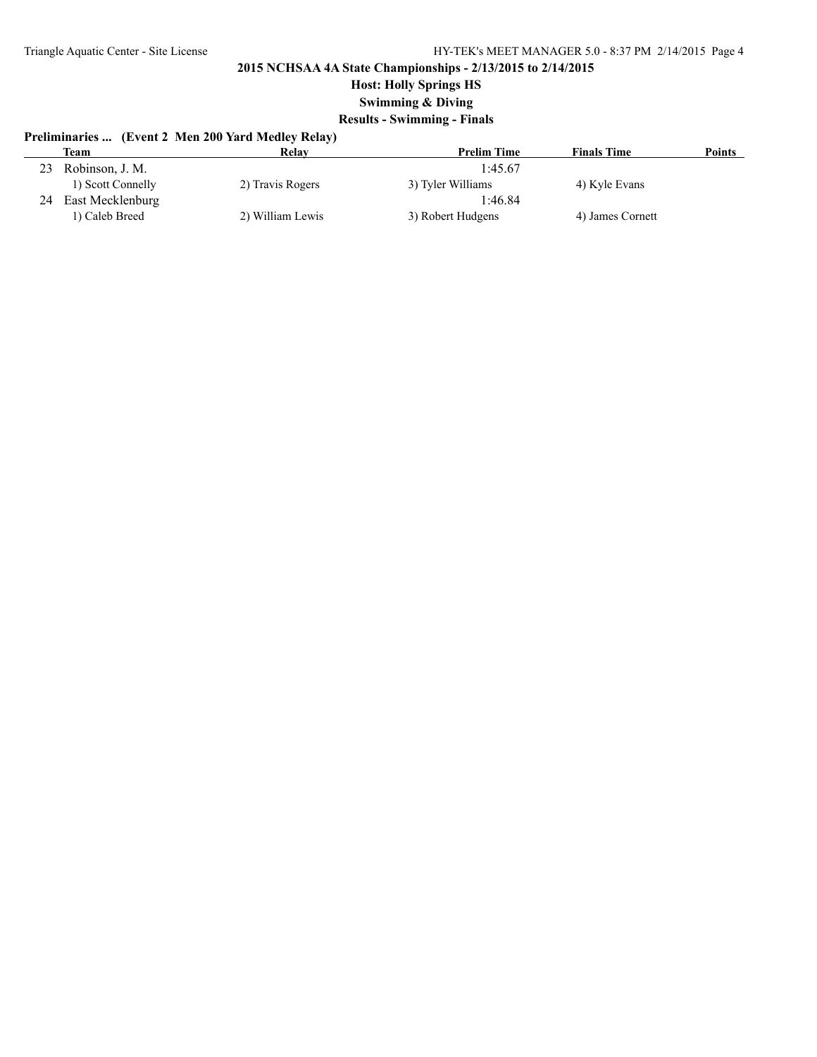## **Host: Holly Springs HS**

**Swimming & Diving**

## **Results - Swimming - Finals**

# **Preliminaries ... (Event 2 Men 200 Yard Medley Relay)**

|    | Team              | Relay            | <b>Prelim Time</b> | <b>Finals Time</b> | Points |
|----|-------------------|------------------|--------------------|--------------------|--------|
| 23 | Robinson, J. M.   |                  | 1:45.67            |                    |        |
|    | 1) Scott Connelly | 2) Travis Rogers | 3) Tyler Williams  | 4) Kyle Evans      |        |
| 24 | East Mecklenburg  |                  | 1:46.84            |                    |        |
|    | 1) Caleb Breed    | 2) William Lewis | 3) Robert Hudgens  | 4) James Cornett   |        |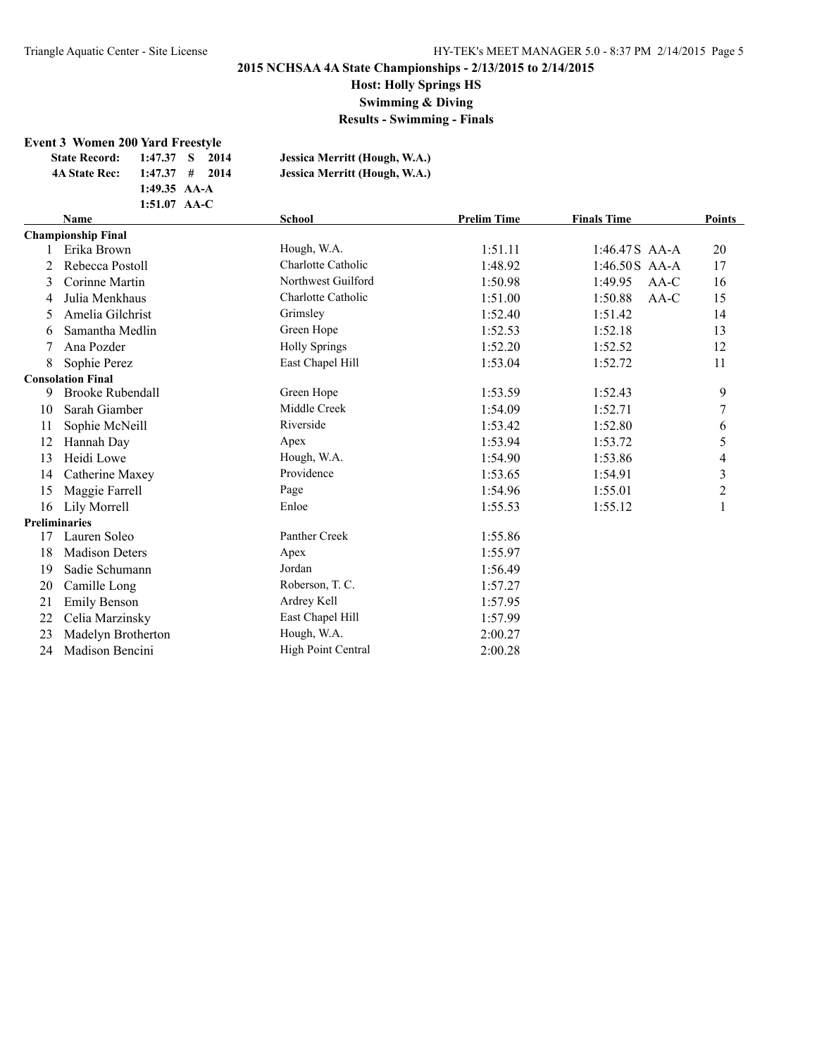**Host: Holly Springs HS**

**Swimming & Diving**

**Results - Swimming - Finals**

#### **Event 3 Women 200 Yard Freestyle**

| <b>State Record:</b> | 1:47.37 S 2014   |  | Jessica Merritt (Hough, W.A.) |
|----------------------|------------------|--|-------------------------------|
| <b>4A State Rec:</b> | $1:47.37$ # 2014 |  | Jessica Merritt (Hough, W.A.) |
|                      | 1:49.35 $AA-A$   |  |                               |
|                      | $1:51.07$ AA-C   |  |                               |
|                      |                  |  |                               |

|    | <b>Name</b>               | <b>School</b>        | <b>Prelim Time</b> | <b>Finals Time</b> | <b>Points</b>           |
|----|---------------------------|----------------------|--------------------|--------------------|-------------------------|
|    | <b>Championship Final</b> |                      |                    |                    |                         |
|    | Erika Brown               | Hough, W.A.          | 1:51.11            | $1:46.47S$ AA-A    | 20                      |
| 2  | Rebecca Postoll           | Charlotte Catholic   | 1:48.92            | 1:46.50S AA-A      | 17                      |
| 3  | Corinne Martin            | Northwest Guilford   | 1:50.98            | 1:49.95<br>$AA-C$  | 16                      |
| 4  | Julia Menkhaus            | Charlotte Catholic   | 1:51.00            | 1:50.88<br>AA-C    | 15                      |
| 5. | Amelia Gilchrist          | Grimsley             | 1:52.40            | 1:51.42            | 14                      |
| 6  | Samantha Medlin           | Green Hope           | 1:52.53            | 1:52.18            | 13                      |
| 7  | Ana Pozder                | <b>Holly Springs</b> | 1:52.20            | 1:52.52            | 12                      |
| 8  | Sophie Perez              | East Chapel Hill     | 1:53.04            | 1:52.72            | 11                      |
|    | <b>Consolation Final</b>  |                      |                    |                    |                         |
| 9  | <b>Brooke Rubendall</b>   | Green Hope           | 1:53.59            | 1:52.43            | 9                       |
| 10 | Sarah Giamber             | Middle Creek         | 1:54.09            | 1:52.71            | 7                       |
| 11 | Sophie McNeill            | Riverside            | 1:53.42            | 1:52.80            | 6                       |
| 12 | Hannah Day                | Apex                 | 1:53.94            | 1:53.72            | 5                       |
| 13 | Heidi Lowe                | Hough, W.A.          | 1:54.90            | 1:53.86            | 4                       |
| 14 | Catherine Maxey           | Providence           | 1:53.65            | 1:54.91            | $\overline{\mathbf{3}}$ |
| 15 | Maggie Farrell            | Page                 | 1:54.96            | 1:55.01            | 2                       |
| 16 | Lily Morrell              | Enloe                | 1:55.53            | 1:55.12            | 1                       |
|    | <b>Preliminaries</b>      |                      |                    |                    |                         |
| 17 | Lauren Soleo              | Panther Creek        | 1:55.86            |                    |                         |
| 18 | <b>Madison Deters</b>     | Apex                 | 1:55.97            |                    |                         |
| 19 | Sadie Schumann            | Jordan               | 1:56.49            |                    |                         |
| 20 | Camille Long              | Roberson, T. C.      | 1:57.27            |                    |                         |
| 21 | <b>Emily Benson</b>       | Ardrey Kell          | 1:57.95            |                    |                         |
| 22 | Celia Marzinsky           | East Chapel Hill     | 1:57.99            |                    |                         |
| 23 | Madelyn Brotherton        | Hough, W.A.          | 2:00.27            |                    |                         |
| 24 | Madison Bencini           | High Point Central   | 2:00.28            |                    |                         |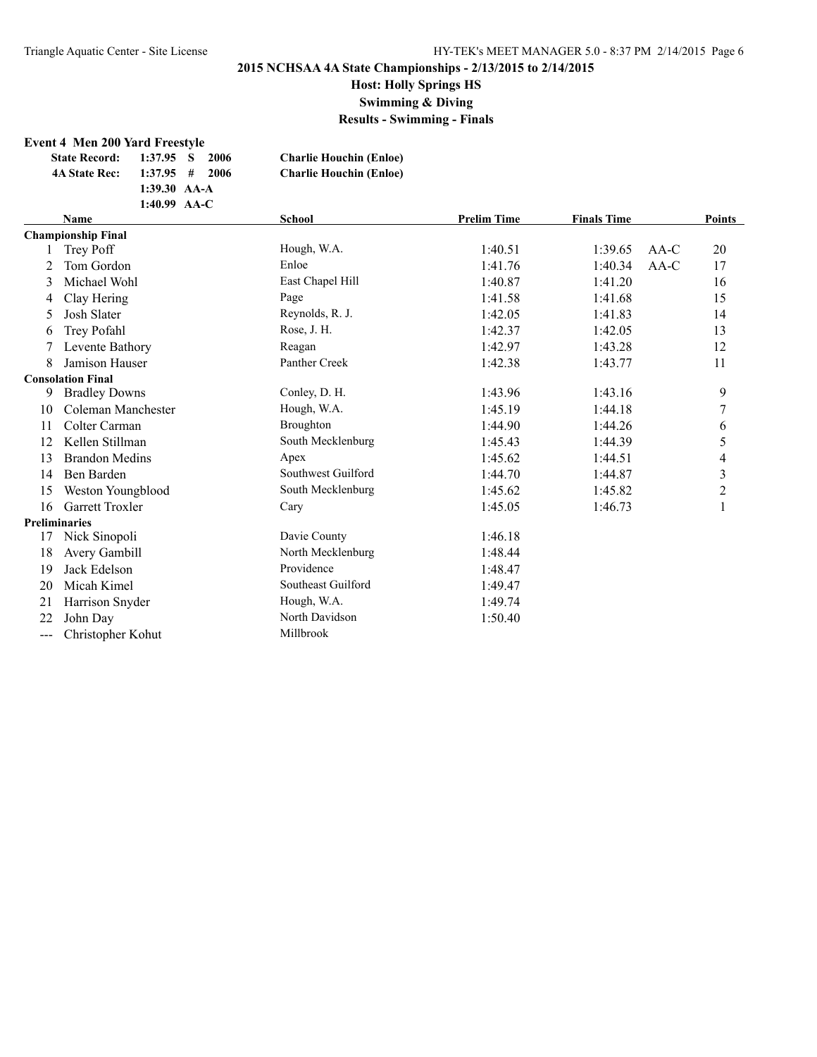# **Host: Holly Springs HS**

**Swimming & Diving**

**Results - Swimming - Finals**

#### **Event 4 Men 200 Yard Freestyle**

| <b>State Record:</b> | 1:37.95 S<br>-2006 | <b>Charlie Houchin (Enloe)</b> |
|----------------------|--------------------|--------------------------------|
| <b>4A State Rec:</b> | $1:37.95$ # 2006   | <b>Charlie Houchin (Enloe)</b> |
|                      | 1:39.30 $AA-A$     |                                |
|                      | 1:40.99 $AA-C$     |                                |
| $\mathbf{r}$         |                    | $\sim$ $\sim$ $\sim$           |

|     | <b>Name</b>               | <b>School</b>      | <b>Prelim Time</b> | <b>Finals Time</b> |        | <b>Points</b>           |
|-----|---------------------------|--------------------|--------------------|--------------------|--------|-------------------------|
|     | <b>Championship Final</b> |                    |                    |                    |        |                         |
|     | Trey Poff                 | Hough, W.A.        | 1:40.51            | 1:39.65            | $AA-C$ | 20                      |
|     | Tom Gordon                | Enloe              | 1:41.76            | 1:40.34            | AA-C   | 17                      |
| 3   | Michael Wohl              | East Chapel Hill   | 1:40.87            | 1:41.20            |        | 16                      |
| 4   | Clay Hering               | Page               | 1:41.58            | 1:41.68            |        | 15                      |
| 5   | Josh Slater               | Reynolds, R. J.    | 1:42.05            | 1:41.83            |        | 14                      |
| 6   | Trey Pofahl               | Rose, J. H.        | 1:42.37            | 1:42.05            |        | 13                      |
|     | Levente Bathory           | Reagan             | 1:42.97            | 1:43.28            |        | 12                      |
| 8   | <b>Jamison Hauser</b>     | Panther Creek      | 1:42.38            | 1:43.77            |        | 11                      |
|     | <b>Consolation Final</b>  |                    |                    |                    |        |                         |
| 9   | <b>Bradley Downs</b>      | Conley, D. H.      | 1:43.96            | 1:43.16            |        | 9                       |
| 10  | Coleman Manchester        | Hough, W.A.        | 1:45.19            | 1:44.18            |        | 7                       |
| 11  | Colter Carman             | Broughton          | 1:44.90            | 1:44.26            |        | 6                       |
| 12  | Kellen Stillman           | South Mecklenburg  | 1:45.43            | 1:44.39            |        | 5                       |
| 13  | <b>Brandon Medins</b>     | Apex               | 1:45.62            | 1:44.51            |        | 4                       |
| 14  | Ben Barden                | Southwest Guilford | 1:44.70            | 1:44.87            |        | $\overline{\mathbf{3}}$ |
| 15  | Weston Youngblood         | South Mecklenburg  | 1:45.62            | 1:45.82            |        | $\overline{c}$          |
| 16  | <b>Garrett Troxler</b>    | Cary               | 1:45.05            | 1:46.73            |        | 1                       |
|     | <b>Preliminaries</b>      |                    |                    |                    |        |                         |
| 17  | Nick Sinopoli             | Davie County       | 1:46.18            |                    |        |                         |
| 18  | Avery Gambill             | North Mecklenburg  | 1:48.44            |                    |        |                         |
| 19  | Jack Edelson              | Providence         | 1:48.47            |                    |        |                         |
| 20  | Micah Kimel               | Southeast Guilford | 1:49.47            |                    |        |                         |
| 21  | Harrison Snyder           | Hough, W.A.        | 1:49.74            |                    |        |                         |
| 22  | John Day                  | North Davidson     | 1:50.40            |                    |        |                         |
| --- | Christopher Kohut         | Millbrook          |                    |                    |        |                         |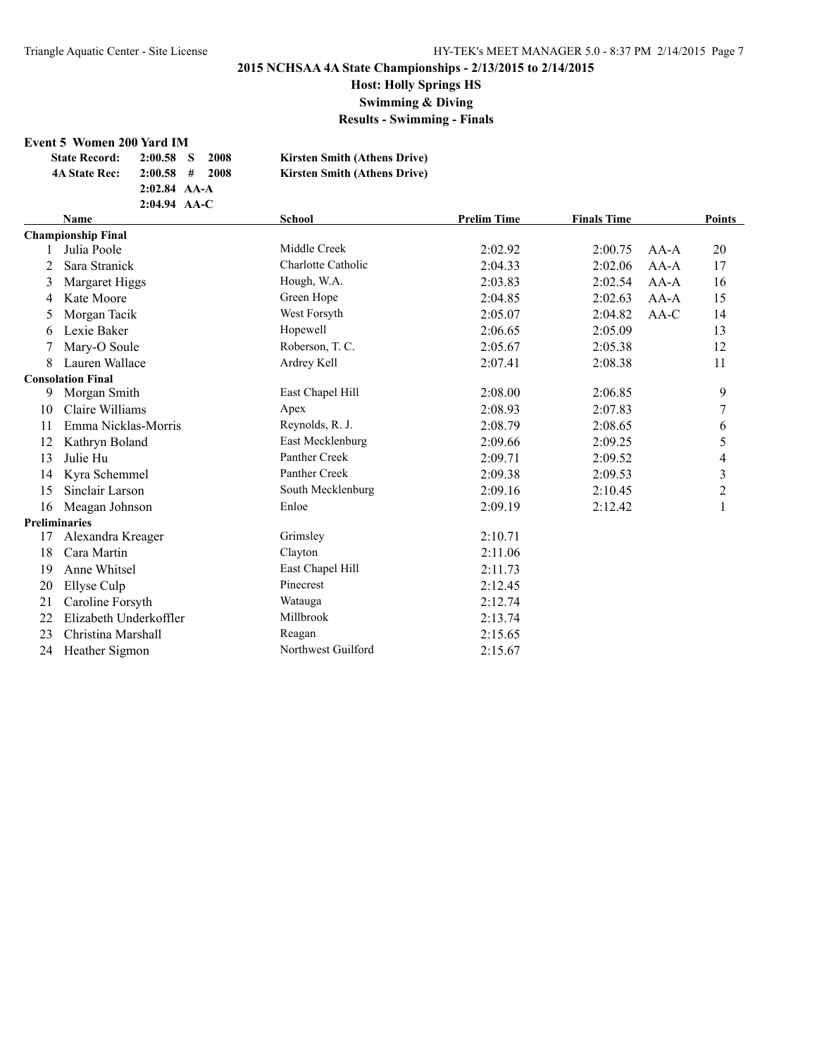**Host: Holly Springs HS**

**Swimming & Diving**

**Results - Swimming - Finals**

#### **Event 5 Women 200 Yard IM**

| <b>State Record:</b> | $2:00.58$ S    | 2008 | <b>Kirsten Smith (Athens Drive)</b> |
|----------------------|----------------|------|-------------------------------------|
| <b>4A State Rec:</b> | $2:00.58$ #    | 2008 | <b>Kirsten Smith (Athens Drive)</b> |
|                      | $2:02.84$ AA-A |      |                                     |
|                      | $2:04.94$ AA-C |      |                                     |

|    | <b>Name</b>               | <b>School</b>      | <b>Prelim Time</b> | <b>Finals Time</b> |        | <b>Points</b>  |
|----|---------------------------|--------------------|--------------------|--------------------|--------|----------------|
|    | <b>Championship Final</b> |                    |                    |                    |        |                |
|    | Julia Poole               | Middle Creek       | 2:02.92            | 2:00.75            | $AA-A$ | 20             |
|    | Sara Stranick             | Charlotte Catholic | 2:04.33            | 2:02.06            | $AA-A$ | 17             |
| 3  | Margaret Higgs            | Hough, W.A.        | 2:03.83            | 2:02.54            | $AA-A$ | 16             |
| 4  | Kate Moore                | Green Hope         | 2:04.85            | 2:02.63            | $AA-A$ | 15             |
| 5  | Morgan Tacik              | West Forsyth       | 2:05.07            | 2:04.82            | AA-C   | 14             |
| 6  | Lexie Baker               | Hopewell           | 2:06.65            | 2:05.09            |        | 13             |
| 7  | Mary-O Soule              | Roberson, T. C.    | 2:05.67            | 2:05.38            |        | 12             |
| 8  | Lauren Wallace            | Ardrey Kell        | 2:07.41            | 2:08.38            |        | 11             |
|    | <b>Consolation Final</b>  |                    |                    |                    |        |                |
| 9  | Morgan Smith              | East Chapel Hill   | 2:08.00            | 2:06.85            |        | 9              |
| 10 | Claire Williams           | Apex               | 2:08.93            | 2:07.83            |        | 7              |
| 11 | Emma Nicklas-Morris       | Reynolds, R. J.    | 2:08.79            | 2:08.65            |        | 6              |
| 12 | Kathryn Boland            | East Mecklenburg   | 2:09.66            | 2:09.25            |        | 5              |
| 13 | Julie Hu                  | Panther Creek      | 2:09.71            | 2:09.52            |        | 4              |
| 14 | Kyra Schemmel             | Panther Creek      | 2:09.38            | 2:09.53            |        | 3              |
| 15 | Sinclair Larson           | South Mecklenburg  | 2:09.16            | 2:10.45            |        | $\overline{2}$ |
| 16 | Meagan Johnson            | Enloe              | 2:09.19            | 2:12.42            |        | 1              |
|    | <b>Preliminaries</b>      |                    |                    |                    |        |                |
| 17 | Alexandra Kreager         | Grimsley           | 2:10.71            |                    |        |                |
| 18 | Cara Martin               | Clayton            | 2:11.06            |                    |        |                |
| 19 | Anne Whitsel              | East Chapel Hill   | 2:11.73            |                    |        |                |
| 20 | Ellyse Culp               | Pinecrest          | 2:12.45            |                    |        |                |
| 21 | Caroline Forsyth          | Watauga            | 2:12.74            |                    |        |                |
| 22 | Elizabeth Underkoffler    | Millbrook          | 2:13.74            |                    |        |                |
| 23 | Christina Marshall        | Reagan             | 2:15.65            |                    |        |                |
| 24 | Heather Sigmon            | Northwest Guilford | 2:15.67            |                    |        |                |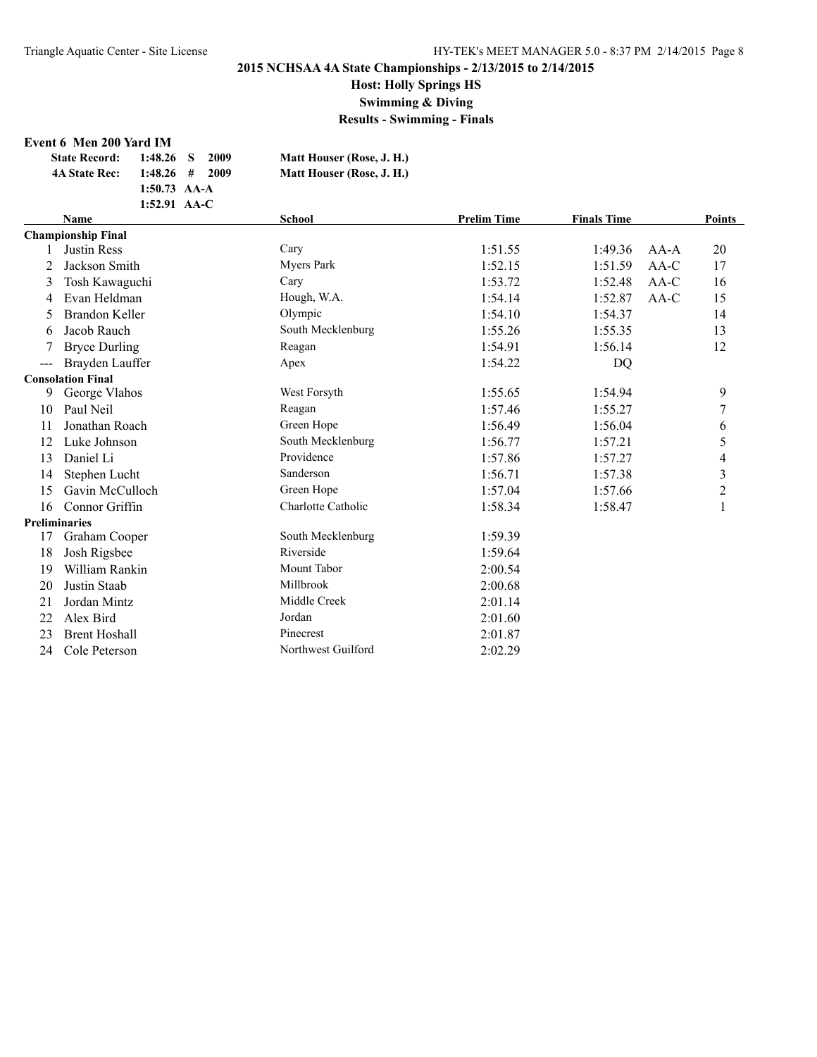# **Host: Holly Springs HS**

**Swimming & Diving**

**Results - Swimming - Finals**

#### **Event 6 Men 200 Yard IM**

| <b>State Record:</b> | $1:48.26$ S      | -2009 | Matt Houser (Rose, J. H.) |
|----------------------|------------------|-------|---------------------------|
| <b>4A State Rec:</b> | $1:48.26$ # 2009 |       | Matt Houser (Rose, J. H.) |
|                      | 1:50.73 $AA-A$   |       |                           |
|                      | $1:52.91$ AA-C   |       |                           |

|     | <b>Name</b>               | <b>School</b>      | <b>Prelim Time</b> | <b>Finals Time</b> |        | Points       |
|-----|---------------------------|--------------------|--------------------|--------------------|--------|--------------|
|     | <b>Championship Final</b> |                    |                    |                    |        |              |
|     | <b>Justin Ress</b>        | Cary               | 1:51.55            | 1:49.36            | $AA-A$ | 20           |
| 2   | Jackson Smith             | <b>Myers Park</b>  | 1:52.15            | 1:51.59            | $AA-C$ | 17           |
| 3   | Tosh Kawaguchi            | Cary               | 1:53.72            | 1:52.48            | $AA-C$ | 16           |
| 4   | Evan Heldman              | Hough, W.A.        | 1:54.14            | 1:52.87            | $AA-C$ | 15           |
| 5.  | <b>Brandon Keller</b>     | Olympic            | 1:54.10            | 1:54.37            |        | 14           |
| 6   | Jacob Rauch               | South Mecklenburg  | 1:55.26            | 1:55.35            |        | 13           |
|     | <b>Bryce Durling</b>      | Reagan             | 1:54.91            | 1:56.14            |        | 12           |
| --- | Brayden Lauffer           | Apex               | 1:54.22            | DQ                 |        |              |
|     | <b>Consolation Final</b>  |                    |                    |                    |        |              |
| 9   | George Vlahos             | West Forsyth       | 1:55.65            | 1:54.94            |        | 9            |
| 10  | Paul Neil                 | Reagan             | 1:57.46            | 1:55.27            |        | 7            |
| 11  | Jonathan Roach            | Green Hope         | 1:56.49            | 1:56.04            |        | 6            |
| 12  | Luke Johnson              | South Mecklenburg  | 1:56.77            | 1:57.21            |        | 5            |
| 13  | Daniel Li                 | Providence         | 1:57.86            | 1:57.27            |        | 4            |
| 14  | Stephen Lucht             | Sanderson          | 1:56.71            | 1:57.38            |        | 3            |
| 15  | Gavin McCulloch           | Green Hope         | 1:57.04            | 1:57.66            |        | $\mathbf{2}$ |
| 16  | Connor Griffin            | Charlotte Catholic | 1:58.34            | 1:58.47            |        | 1            |
|     | <b>Preliminaries</b>      |                    |                    |                    |        |              |
| 17  | Graham Cooper             | South Mecklenburg  | 1:59.39            |                    |        |              |
| 18  | Josh Rigsbee              | Riverside          | 1:59.64            |                    |        |              |
| 19  | William Rankin            | Mount Tabor        | 2:00.54            |                    |        |              |
| 20  | Justin Staab              | Millbrook          | 2:00.68            |                    |        |              |
| 21  | Jordan Mintz              | Middle Creek       | 2:01.14            |                    |        |              |
| 22  | Alex Bird                 | Jordan             | 2:01.60            |                    |        |              |
| 23  | <b>Brent Hoshall</b>      | Pinecrest          | 2:01.87            |                    |        |              |
| 24  | Cole Peterson             | Northwest Guilford | 2:02.29            |                    |        |              |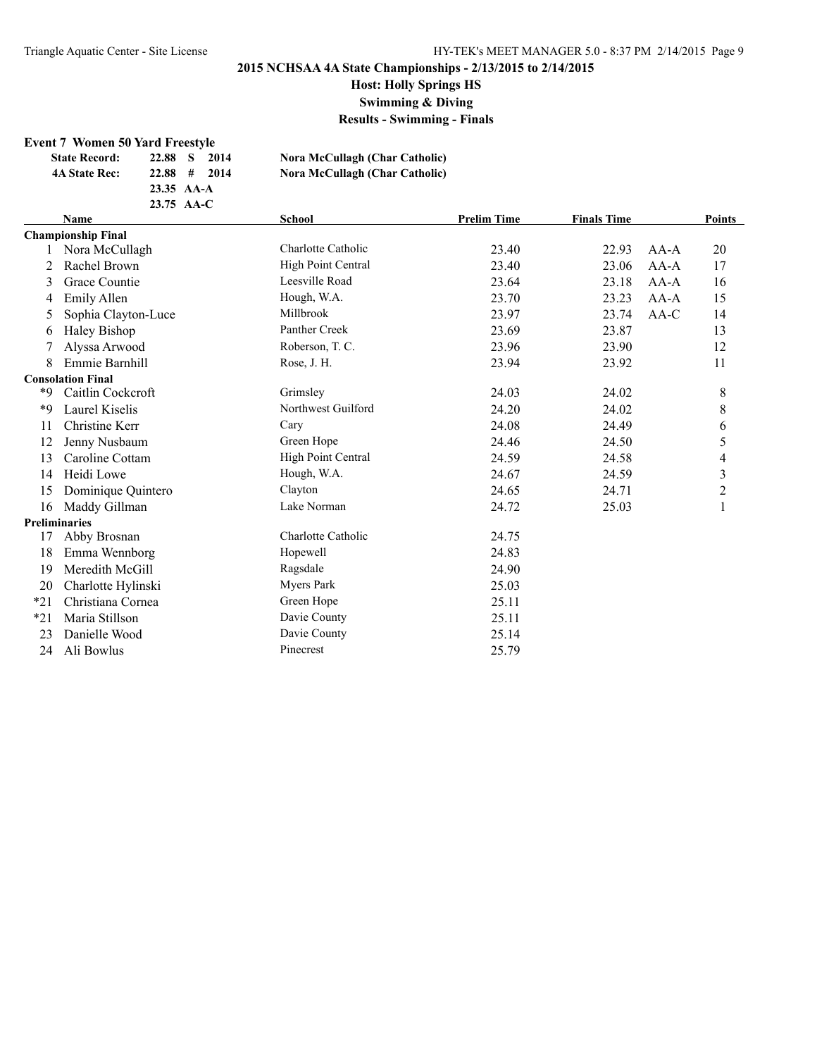## **Host: Holly Springs HS**

**Swimming & Diving**

**Results - Swimming - Finals**

#### **Event 7 Women 50 Yard Freestyle**

| <b>State Record:</b>      | 2014<br>22.88<br>- 8 | Nora McCullagh (Char Catholic)        |                    |                    |               |
|---------------------------|----------------------|---------------------------------------|--------------------|--------------------|---------------|
| <b>4A State Rec:</b>      | 2014<br>$22.88$ #    | <b>Nora McCullagh (Char Catholic)</b> |                    |                    |               |
|                           | $23.35 \text{AA-A}$  |                                       |                    |                    |               |
|                           | $23.75 \text{ AA-C}$ |                                       |                    |                    |               |
| Name                      |                      | School                                | <b>Prelim Time</b> | <b>Finals Time</b> | <b>Points</b> |
| <b>Championship Final</b> |                      |                                       |                    |                    |               |

|                      | <b>Championship Final</b> |                    |       |       |        |                |
|----------------------|---------------------------|--------------------|-------|-------|--------|----------------|
|                      | Nora McCullagh            | Charlotte Catholic | 23.40 | 22.93 | $AA-A$ | 20             |
| 2                    | Rachel Brown              | High Point Central | 23.40 | 23.06 | $AA-A$ | 17             |
| 3                    | Grace Countie             | Leesville Road     | 23.64 | 23.18 | $AA-A$ | 16             |
| 4                    | <b>Emily Allen</b>        | Hough, W.A.        | 23.70 | 23.23 | AA-A   | 15             |
| 5                    | Sophia Clayton-Luce       | Millbrook          | 23.97 | 23.74 | $AA-C$ | 14             |
| 6                    | Haley Bishop              | Panther Creek      | 23.69 | 23.87 |        | 13             |
|                      | Alyssa Arwood             | Roberson, T. C.    | 23.96 | 23.90 |        | 12             |
| 8                    | Emmie Barnhill            | Rose, J. H.        | 23.94 | 23.92 |        | 11             |
|                      | <b>Consolation Final</b>  |                    |       |       |        |                |
| *9                   | Caitlin Cockcroft         | Grimsley           | 24.03 | 24.02 |        | 8              |
| *9                   | Laurel Kiselis            | Northwest Guilford | 24.20 | 24.02 |        | 8              |
| 11                   | Christine Kerr            | Cary               | 24.08 | 24.49 |        | 6              |
| 12                   | Jenny Nusbaum             | Green Hope         | 24.46 | 24.50 |        | 5              |
| 13                   | Caroline Cottam           | High Point Central | 24.59 | 24.58 |        | 4              |
| 14                   | Heidi Lowe                | Hough, W.A.        | 24.67 | 24.59 |        | 3              |
| 15                   | Dominique Quintero        | Clayton            | 24.65 | 24.71 |        | $\overline{c}$ |
| 16                   | Maddy Gillman             | Lake Norman        | 24.72 | 25.03 |        |                |
| <b>Preliminaries</b> |                           |                    |       |       |        |                |
| 17                   | Abby Brosnan              | Charlotte Catholic | 24.75 |       |        |                |
| 18                   | Emma Wennborg             | Hopewell           | 24.83 |       |        |                |
| 19                   | Meredith McGill           | Ragsdale           | 24.90 |       |        |                |
| 20                   | Charlotte Hylinski        | <b>Myers Park</b>  | 25.03 |       |        |                |
| $*21$                | Christiana Cornea         | Green Hope         | 25.11 |       |        |                |
| $*21$                | Maria Stillson            | Davie County       | 25.11 |       |        |                |
| 23                   | Danielle Wood             | Davie County       | 25.14 |       |        |                |
| 24                   | Ali Bowlus                | Pinecrest          | 25.79 |       |        |                |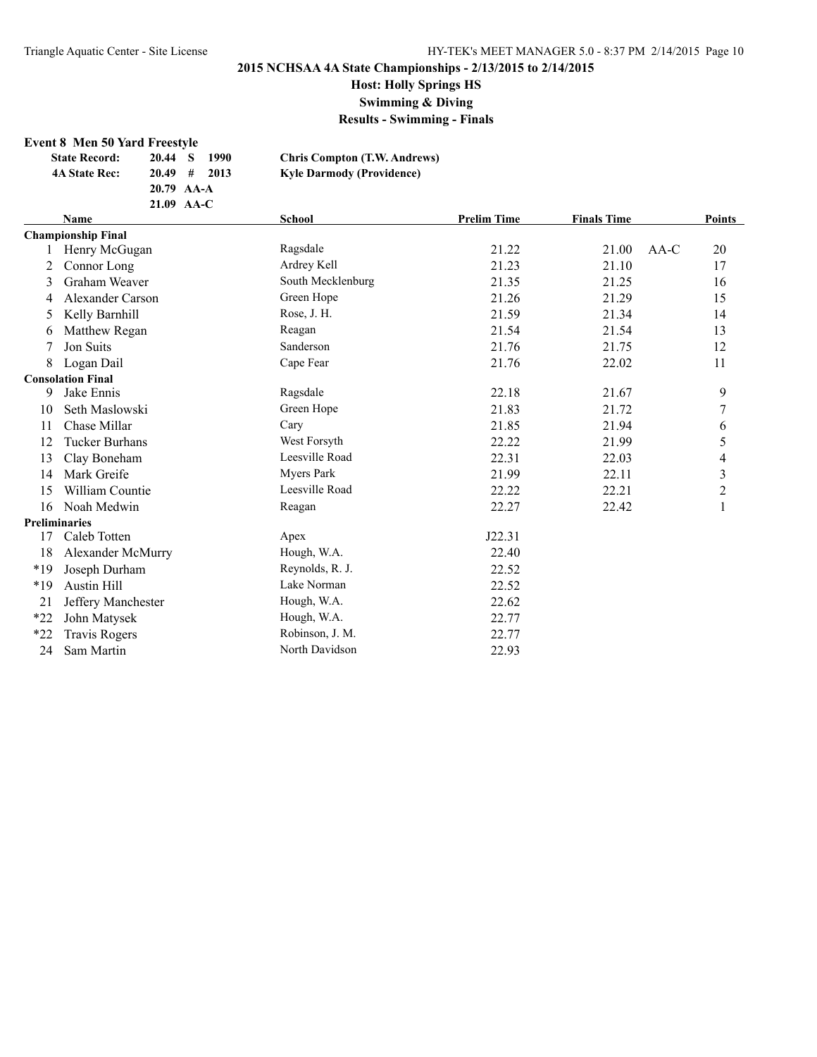**Host: Holly Springs HS**

**Swimming & Diving**

**Results - Swimming - Finals**

#### **Event 8 Men 50 Yard Freestyle**

| <b>State Record:</b> | 20.44 S<br>1990 | <b>Chris Compton (T.W. Andrews)</b> |
|----------------------|-----------------|-------------------------------------|
| <b>4A State Rec:</b> | $20.49$ # 2013  | <b>Kyle Darmody (Providence)</b>    |
|                      | $20.79$ AA-A    |                                     |
|                      | $21.09$ AA-C    |                                     |

|       | Name                      | <b>School</b>     | <b>Prelim Time</b> | <b>Finals Time</b> |        | Points                  |
|-------|---------------------------|-------------------|--------------------|--------------------|--------|-------------------------|
|       | <b>Championship Final</b> |                   |                    |                    |        |                         |
|       | Henry McGugan             | Ragsdale          | 21.22              | 21.00              | $AA-C$ | 20                      |
| 2     | Connor Long               | Ardrey Kell       | 21.23              | 21.10              |        | 17                      |
| 3     | Graham Weaver             | South Mecklenburg | 21.35              | 21.25              |        | 16                      |
| 4     | Alexander Carson          | Green Hope        | 21.26              | 21.29              |        | 15                      |
| 5     | Kelly Barnhill            | Rose, J. H.       | 21.59              | 21.34              |        | 14                      |
| 6     | Matthew Regan             | Reagan            | 21.54              | 21.54              |        | 13                      |
|       | Jon Suits                 | Sanderson         | 21.76              | 21.75              |        | 12                      |
| 8     | Logan Dail                | Cape Fear         | 21.76              | 22.02              |        | 11                      |
|       | <b>Consolation Final</b>  |                   |                    |                    |        |                         |
| 9     | Jake Ennis                | Ragsdale          | 22.18              | 21.67              |        | 9                       |
| 10    | Seth Maslowski            | Green Hope        | 21.83              | 21.72              |        | 7                       |
| 11    | Chase Millar              | Cary              | 21.85              | 21.94              |        | 6                       |
| 12    | <b>Tucker Burhans</b>     | West Forsyth      | 22.22              | 21.99              |        | 5                       |
| 13    | Clay Boneham              | Leesville Road    | 22.31              | 22.03              |        | 4                       |
| 14    | Mark Greife               | Myers Park        | 21.99              | 22.11              |        | $\overline{\mathbf{3}}$ |
| 15    | William Countie           | Leesville Road    | 22.22              | 22.21              |        | $\overline{c}$          |
| 16    | Noah Medwin               | Reagan            | 22.27              | 22.42              |        | 1                       |
|       | <b>Preliminaries</b>      |                   |                    |                    |        |                         |
| 17    | Caleb Totten              | Apex              | J22.31             |                    |        |                         |
| 18    | Alexander McMurry         | Hough, W.A.       | 22.40              |                    |        |                         |
| $*19$ | Joseph Durham             | Reynolds, R. J.   | 22.52              |                    |        |                         |
| *19   | <b>Austin Hill</b>        | Lake Norman       | 22.52              |                    |        |                         |
| 21    | Jeffery Manchester        | Hough, W.A.       | 22.62              |                    |        |                         |
| $*22$ | John Matysek              | Hough, W.A.       | 22.77              |                    |        |                         |
| $*22$ | Travis Rogers             | Robinson, J. M.   | 22.77              |                    |        |                         |
| 24    | Sam Martin                | North Davidson    | 22.93              |                    |        |                         |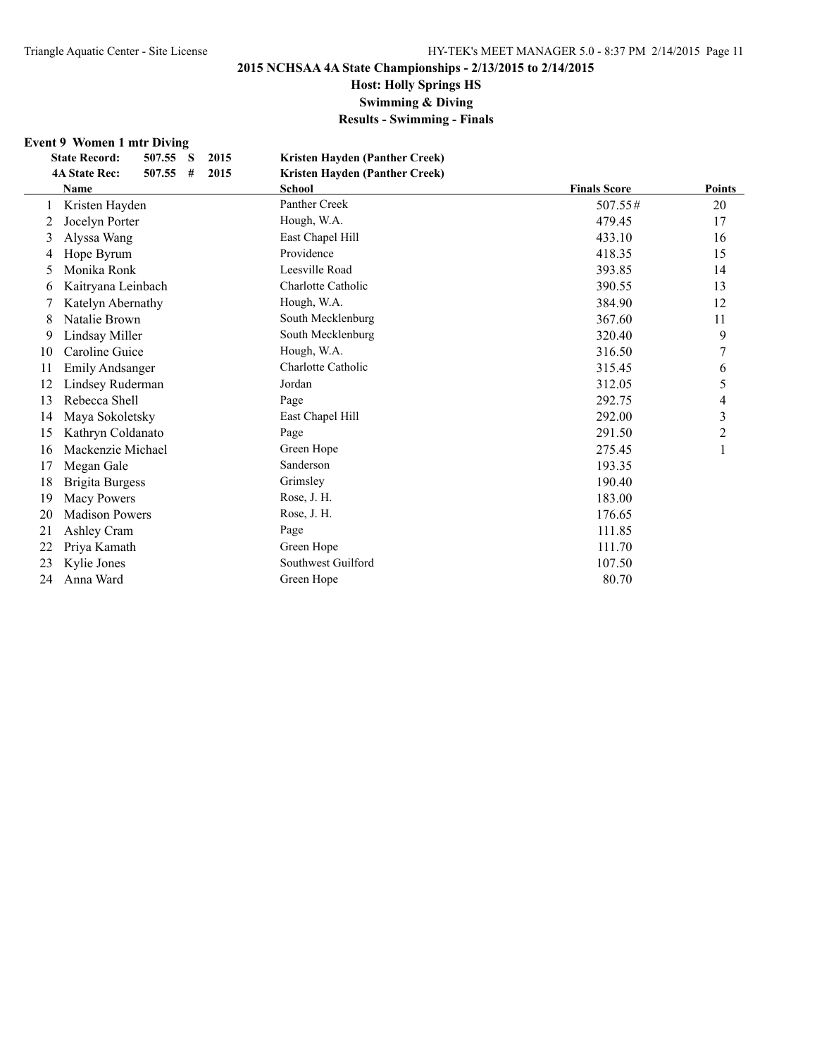**Host: Holly Springs HS**

**Swimming & Diving**

**Results - Swimming - Finals**

## **Event 9 Women 1 mtr Diving**

|    | <b>State Record:</b><br>507.55<br>2015<br>S | Kristen Hayden (Panther Creek) |                     |                |
|----|---------------------------------------------|--------------------------------|---------------------|----------------|
|    | 2015<br><b>4A State Rec:</b><br>507.55<br># | Kristen Hayden (Panther Creek) |                     |                |
|    | <b>Name</b>                                 | <b>School</b>                  | <b>Finals Score</b> | Points         |
|    | Kristen Hayden                              | Panther Creek                  | $507.55\#$          | 20             |
| 2  | Jocelyn Porter                              | Hough, W.A.                    | 479.45              | 17             |
| 3  | Alyssa Wang                                 | East Chapel Hill               | 433.10              | 16             |
| 4  | Hope Byrum                                  | Providence                     | 418.35              | 15             |
| 5  | Monika Ronk                                 | Leesville Road                 | 393.85              | 14             |
| 6  | Kaitryana Leinbach                          | Charlotte Catholic             | 390.55              | 13             |
|    | Katelyn Abernathy                           | Hough, W.A.                    | 384.90              | 12             |
| 8  | Natalie Brown                               | South Mecklenburg              | 367.60              | 11             |
| 9  | Lindsay Miller                              | South Mecklenburg              | 320.40              | 9              |
| 10 | Caroline Guice                              | Hough, W.A.                    | 316.50              | 7              |
| 11 | <b>Emily Andsanger</b>                      | Charlotte Catholic             | 315.45              | 6              |
| 12 | Lindsey Ruderman                            | Jordan                         | 312.05              | 5              |
| 13 | Rebecca Shell                               | Page                           | 292.75              | 4              |
| 14 | Maya Sokoletsky                             | East Chapel Hill               | 292.00              | 3              |
| 15 | Kathryn Coldanato                           | Page                           | 291.50              | $\overline{c}$ |
| 16 | Mackenzie Michael                           | Green Hope                     | 275.45              |                |
| 17 | Megan Gale                                  | Sanderson                      | 193.35              |                |
| 18 | <b>Brigita Burgess</b>                      | Grimsley                       | 190.40              |                |
| 19 | <b>Macy Powers</b>                          | Rose, J. H.                    | 183.00              |                |
| 20 | <b>Madison Powers</b>                       | Rose, J. H.                    | 176.65              |                |
| 21 | Ashley Cram                                 | Page                           | 111.85              |                |
| 22 | Priya Kamath                                | Green Hope                     | 111.70              |                |
| 23 | Kylie Jones                                 | Southwest Guilford             | 107.50              |                |
| 24 | Anna Ward                                   | Green Hope                     | 80.70               |                |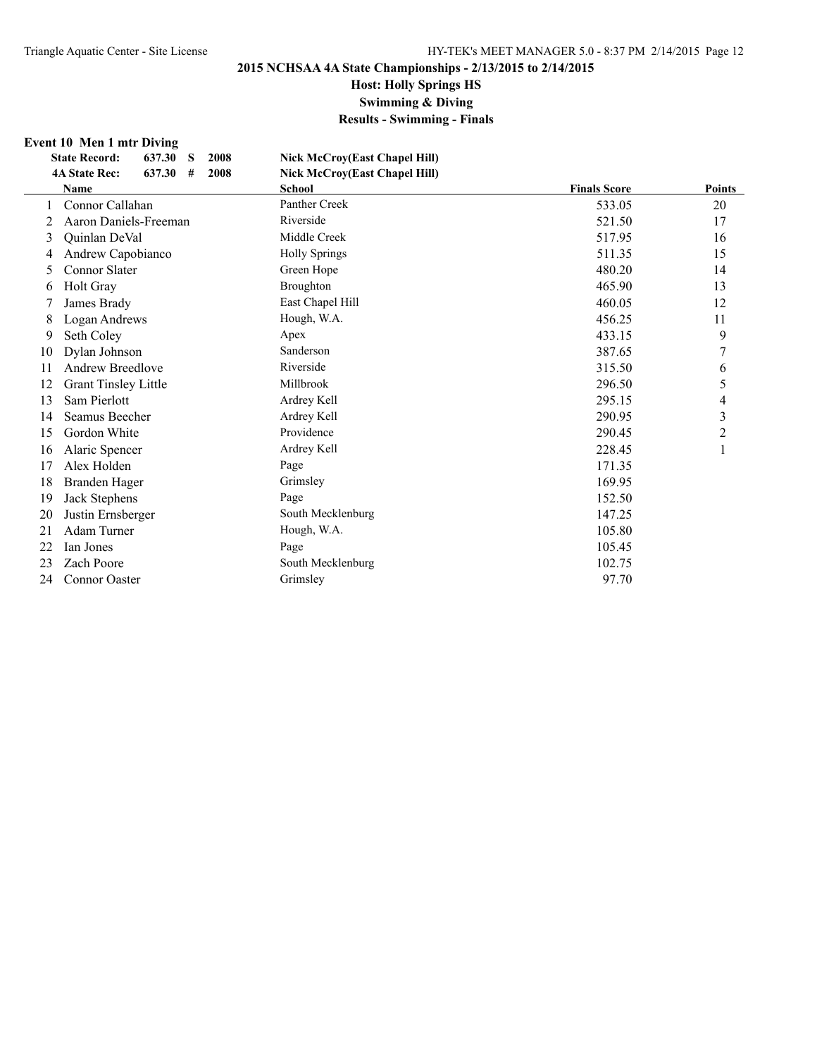# **Host: Holly Springs HS**

**Swimming & Diving**

**Results - Swimming - Finals**

#### **Event 10 Men 1 mtr Diving**

|    | 637.30<br><b>State Record:</b><br>S<br>2008 | <b>Nick McCroy(East Chapel Hill)</b> |                     |                |
|----|---------------------------------------------|--------------------------------------|---------------------|----------------|
|    | <b>4A State Rec:</b><br>637.30<br>2008<br># | Nick McCroy(East Chapel Hill)        |                     |                |
|    | <b>Name</b>                                 | <b>School</b>                        | <b>Finals Score</b> | <b>Points</b>  |
|    | Connor Callahan                             | Panther Creek                        | 533.05              | 20             |
| 2  | Aaron Daniels-Freeman                       | Riverside                            | 521.50              | 17             |
| 3  | Quinlan DeVal                               | Middle Creek                         | 517.95              | 16             |
| 4  | Andrew Capobianco                           | <b>Holly Springs</b>                 | 511.35              | 15             |
| 5  | <b>Connor Slater</b>                        | Green Hope                           | 480.20              | 14             |
| 6  | Holt Gray                                   | Broughton                            | 465.90              | 13             |
|    | James Brady                                 | East Chapel Hill                     | 460.05              | 12             |
| 8  | Logan Andrews                               | Hough, W.A.                          | 456.25              | 11             |
| 9  | Seth Coley                                  | Apex                                 | 433.15              | 9              |
| 10 | Dylan Johnson                               | Sanderson                            | 387.65              | 7              |
| 11 | Andrew Breedlove                            | Riverside                            | 315.50              | 6              |
| 12 | <b>Grant Tinsley Little</b>                 | Millbrook                            | 296.50              | 5              |
| 13 | Sam Pierlott                                | Ardrey Kell                          | 295.15              | 4              |
| 14 | Seamus Beecher                              | Ardrey Kell                          | 290.95              | 3              |
| 15 | Gordon White                                | Providence                           | 290.45              | $\overline{c}$ |
| 16 | Alaric Spencer                              | Ardrey Kell                          | 228.45              |                |
| 17 | Alex Holden                                 | Page                                 | 171.35              |                |
| 18 | Branden Hager                               | Grimsley                             | 169.95              |                |
| 19 | Jack Stephens                               | Page                                 | 152.50              |                |
| 20 | Justin Ernsberger                           | South Mecklenburg                    | 147.25              |                |
| 21 | Adam Turner                                 | Hough, W.A.                          | 105.80              |                |
| 22 | Ian Jones                                   | Page                                 | 105.45              |                |
| 23 | Zach Poore                                  | South Mecklenburg                    | 102.75              |                |
| 24 | <b>Connor Oaster</b>                        | Grimsley                             | 97.70               |                |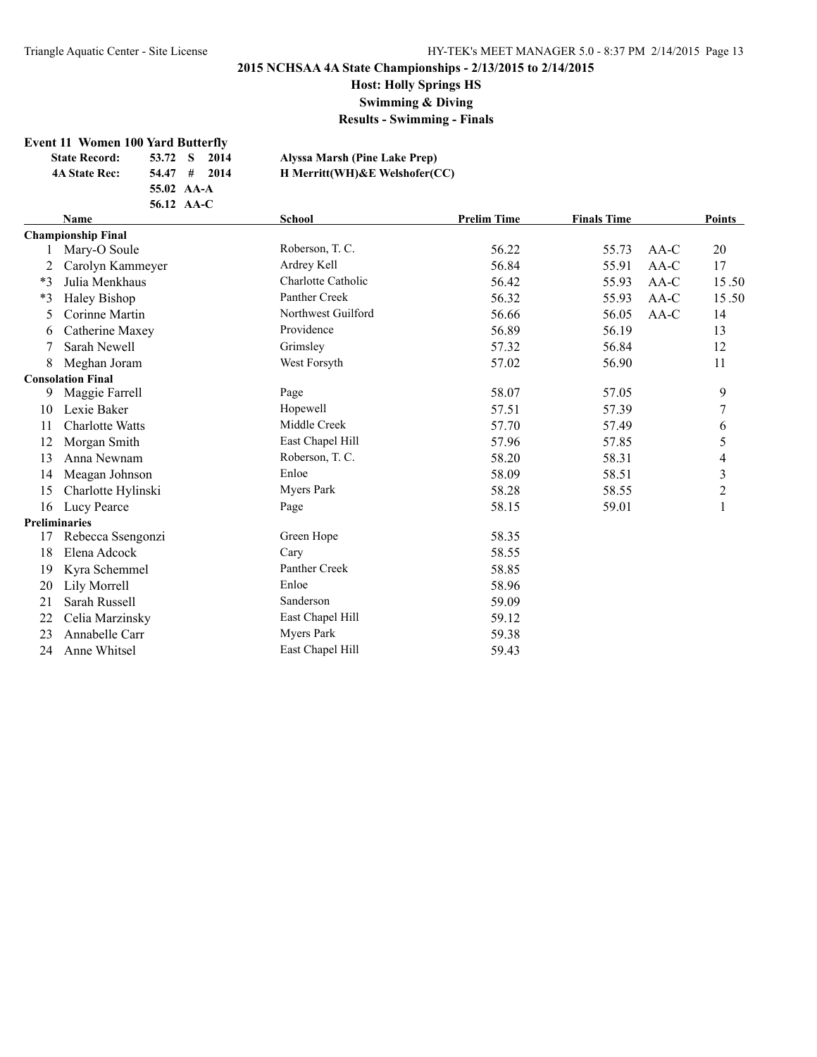**Host: Holly Springs HS**

**Swimming & Diving**

**Results - Swimming - Finals**

#### **Event 11 Women 100 Yard Butterfly**

| <b>State Record:</b> | 53.72 S<br>2014 | Alyssa Marsh (Pine Lake Prep)      |
|----------------------|-----------------|------------------------------------|
| <b>4A State Rec:</b> | $54.47$ # 2014  | H Merritt(WH) & E Welshofer $(CC)$ |
|                      | 55.02 AA-A      |                                    |
|                      | 56.12 AA-C      |                                    |

|      | School<br><b>Finals Time</b><br><b>Prelim Time</b><br><b>Name</b> |                    |       | Points |        |                         |
|------|-------------------------------------------------------------------|--------------------|-------|--------|--------|-------------------------|
|      | <b>Championship Final</b>                                         |                    |       |        |        |                         |
|      | Mary-O Soule                                                      | Roberson, T. C.    | 56.22 | 55.73  | $AA-C$ | 20                      |
| 2    | Carolyn Kammeyer                                                  | Ardrey Kell        | 56.84 | 55.91  | AA-C   | 17                      |
| $*3$ | Julia Menkhaus                                                    | Charlotte Catholic | 56.42 | 55.93  | AA-C   | 15.50                   |
| $*3$ | Haley Bishop                                                      | Panther Creek      | 56.32 | 55.93  | AA-C   | 15.50                   |
| 5    | Corinne Martin                                                    | Northwest Guilford | 56.66 | 56.05  | $AA-C$ | 14                      |
| 6    | Catherine Maxey                                                   | Providence         | 56.89 | 56.19  |        | 13                      |
| 7    | Sarah Newell                                                      | Grimsley           | 57.32 | 56.84  |        | 12                      |
| 8    | Meghan Joram                                                      | West Forsyth       | 57.02 | 56.90  |        | 11                      |
|      | <b>Consolation Final</b>                                          |                    |       |        |        |                         |
| 9    | Maggie Farrell                                                    | Page               | 58.07 | 57.05  |        | 9                       |
| 10   | Lexie Baker                                                       | Hopewell           | 57.51 | 57.39  |        | 7                       |
| 11   | <b>Charlotte Watts</b>                                            | Middle Creek       | 57.70 | 57.49  |        | 6                       |
| 12   | Morgan Smith                                                      | East Chapel Hill   | 57.96 | 57.85  |        | 5                       |
| 13   | Anna Newnam                                                       | Roberson, T. C.    | 58.20 | 58.31  |        | 4                       |
| 14   | Meagan Johnson                                                    | Enloe              | 58.09 | 58.51  |        | $\overline{\mathbf{3}}$ |
| 15   | Charlotte Hylinski                                                | Myers Park         | 58.28 | 58.55  |        | $\overline{2}$          |
| 16   | Lucy Pearce                                                       | Page               | 58.15 | 59.01  |        | 1                       |
|      | <b>Preliminaries</b>                                              |                    |       |        |        |                         |
| 17   | Rebecca Ssengonzi                                                 | Green Hope         | 58.35 |        |        |                         |
| 18   | Elena Adcock                                                      | Cary               | 58.55 |        |        |                         |
| 19   | Kyra Schemmel                                                     | Panther Creek      | 58.85 |        |        |                         |
| 20   | Lily Morrell                                                      | Enloe              | 58.96 |        |        |                         |
| 21   | Sarah Russell                                                     | Sanderson          | 59.09 |        |        |                         |
| 22   | Celia Marzinsky                                                   | East Chapel Hill   | 59.12 |        |        |                         |
| 23   | Annabelle Carr                                                    | Myers Park         | 59.38 |        |        |                         |
| 24   | Anne Whitsel                                                      | East Chapel Hill   | 59.43 |        |        |                         |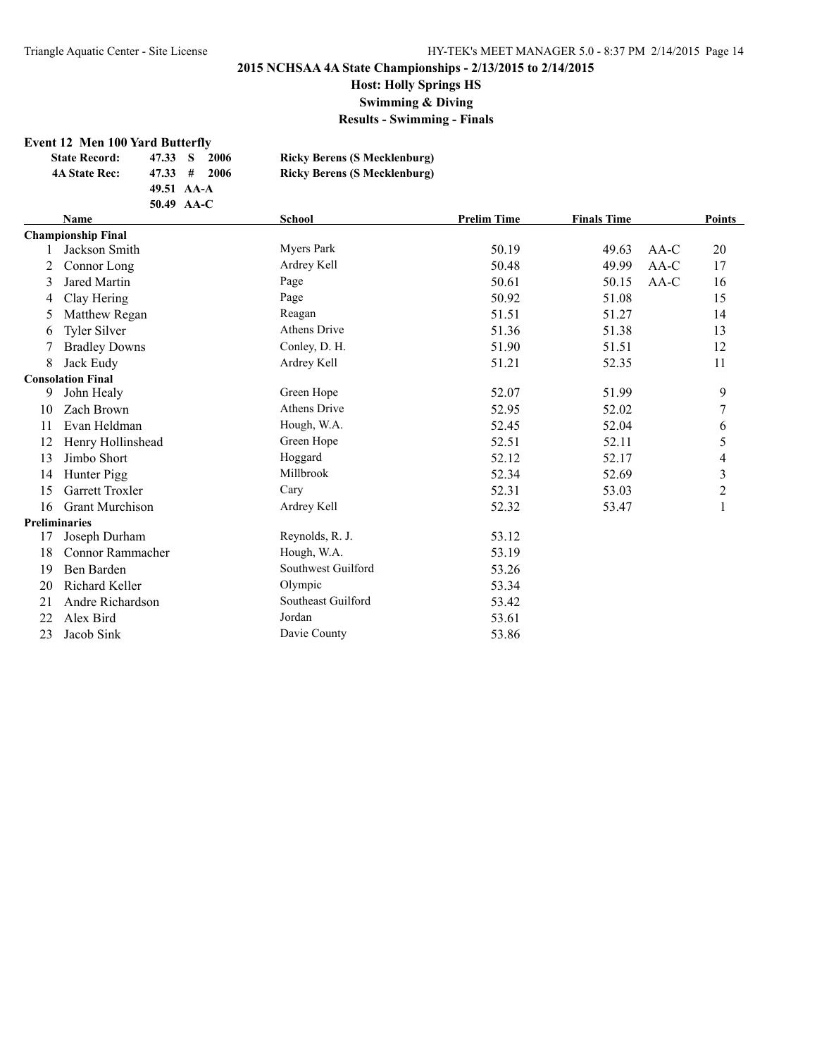**Host: Holly Springs HS**

**Swimming & Diving**

**Results - Swimming - Finals**

#### **Event 12 Men 100 Yard Butterfly**

| <b>State Record:</b> | 47.33 S       | 2006  | <b>Ricky Berens (S Mecklenburg)</b> |
|----------------------|---------------|-------|-------------------------------------|
| <b>4A State Rec:</b> | $47.33 \pm 1$ | -2006 | <b>Ricky Berens (S Mecklenburg)</b> |
|                      | 49.51 AA-A    |       |                                     |
|                      | 50.49 AA-C    |       |                                     |

|    | <b>Name</b>               | <b>School</b>       | <b>Prelim Time</b><br><b>Finals Time</b> |       | <b>Points</b> |                         |
|----|---------------------------|---------------------|------------------------------------------|-------|---------------|-------------------------|
|    | <b>Championship Final</b> |                     |                                          |       |               |                         |
|    | Jackson Smith             | Myers Park          | 50.19                                    | 49.63 | $AA-C$        | 20                      |
| 2  | Connor Long               | Ardrey Kell         | 50.48                                    | 49.99 | AA-C          | 17                      |
| 3  | <b>Jared Martin</b>       | Page                | 50.61                                    | 50.15 | $AA-C$        | 16                      |
| 4  | Clay Hering               | Page                | 50.92                                    | 51.08 |               | 15                      |
| 5  | Matthew Regan             | Reagan              | 51.51                                    | 51.27 |               | 14                      |
| 6  | Tyler Silver              | <b>Athens Drive</b> | 51.36                                    | 51.38 |               | 13                      |
|    | <b>Bradley Downs</b>      | Conley, D. H.       | 51.90                                    | 51.51 |               | 12                      |
| 8  | Jack Eudy                 | Ardrey Kell         | 51.21                                    | 52.35 |               | 11                      |
|    | <b>Consolation Final</b>  |                     |                                          |       |               |                         |
| 9  | John Healy                | Green Hope          | 52.07                                    | 51.99 |               | 9                       |
| 10 | Zach Brown                | <b>Athens Drive</b> | 52.95                                    | 52.02 |               | 7                       |
| 11 | Evan Heldman              | Hough, W.A.         | 52.45                                    | 52.04 |               | 6                       |
| 12 | Henry Hollinshead         | Green Hope          | 52.51                                    | 52.11 |               | 5                       |
| 13 | Jimbo Short               | Hoggard             | 52.12                                    | 52.17 |               | 4                       |
| 14 | Hunter Pigg               | Millbrook           | 52.34                                    | 52.69 |               | $\overline{\mathbf{3}}$ |
| 15 | Garrett Troxler           | Cary                | 52.31                                    | 53.03 |               | $\overline{c}$          |
| 16 | <b>Grant Murchison</b>    | Ardrey Kell         | 52.32                                    | 53.47 |               | $\mathbf{1}$            |
|    | <b>Preliminaries</b>      |                     |                                          |       |               |                         |
| 17 | Joseph Durham             | Reynolds, R. J.     | 53.12                                    |       |               |                         |
| 18 | Connor Rammacher          | Hough, W.A.         | 53.19                                    |       |               |                         |
| 19 | Ben Barden                | Southwest Guilford  | 53.26                                    |       |               |                         |
| 20 | Richard Keller            | Olympic             | 53.34                                    |       |               |                         |
| 21 | Andre Richardson          | Southeast Guilford  | 53.42                                    |       |               |                         |
| 22 | Alex Bird                 | Jordan              | 53.61                                    |       |               |                         |
| 23 | Jacob Sink                | Davie County        | 53.86                                    |       |               |                         |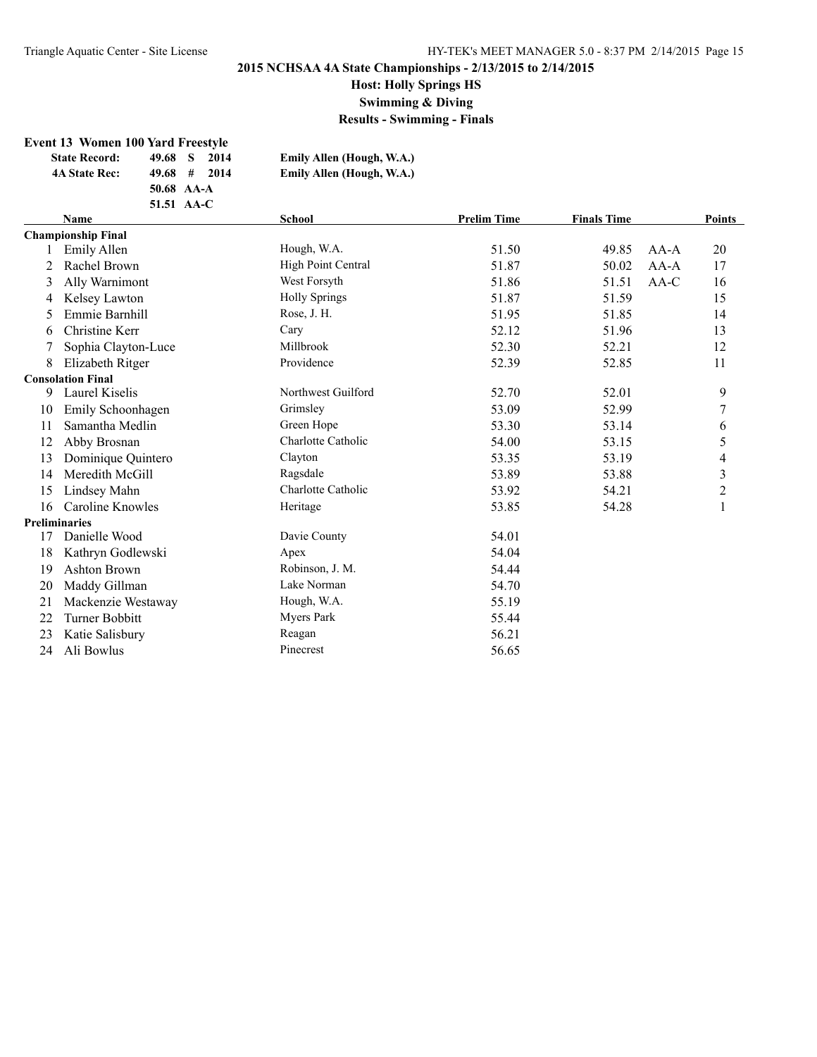**Host: Holly Springs HS**

**Swimming & Diving**

**Results - Swimming - Finals**

#### **Event 13 Women 100 Yard Freestyle**

| <b>State Record:</b> | 49.68 S<br>2014       | Emily Allen (Hough, W.A.) |
|----------------------|-----------------------|---------------------------|
| <b>4A State Rec:</b> | $49.68 \pm 1$<br>2014 | Emily Allen (Hough, W.A.) |
|                      | 50.68 AA-A            |                           |
|                      | 51.51 AA-C            |                           |

|    | <b>School</b><br><b>Name</b> |                      | <b>Prelim Time</b> | <b>Finals Time</b> |        | <b>Points</b>           |
|----|------------------------------|----------------------|--------------------|--------------------|--------|-------------------------|
|    | <b>Championship Final</b>    |                      |                    |                    |        |                         |
|    | Emily Allen                  | Hough, W.A.          | 51.50              | 49.85              | $AA-A$ | 20                      |
|    | Rachel Brown                 | High Point Central   | 51.87              | 50.02              | $AA-A$ | 17                      |
| 3  | Ally Warnimont               | West Forsyth         | 51.86              | 51.51              | AA-C   | 16                      |
| 4  | Kelsey Lawton                | <b>Holly Springs</b> | 51.87              | 51.59              |        | 15                      |
| 5. | Emmie Barnhill               | Rose, J. H.          | 51.95              | 51.85              |        | 14                      |
| 6  | Christine Kerr               | Cary                 | 52.12              | 51.96              |        | 13                      |
|    | Sophia Clayton-Luce          | Millbrook            | 52.30              | 52.21              |        | 12                      |
| 8  | Elizabeth Ritger             | Providence           | 52.39              | 52.85              |        | 11                      |
|    | <b>Consolation Final</b>     |                      |                    |                    |        |                         |
| 9  | Laurel Kiselis               | Northwest Guilford   | 52.70              | 52.01              |        | 9                       |
| 10 | Emily Schoonhagen            | Grimsley             | 53.09              | 52.99              |        | 7                       |
| 11 | Samantha Medlin              | Green Hope           | 53.30              | 53.14              |        | 6                       |
| 12 | Abby Brosnan                 | Charlotte Catholic   | 54.00              | 53.15              |        | 5                       |
| 13 | Dominique Quintero           | Clayton              | 53.35              | 53.19              |        | 4                       |
| 14 | Meredith McGill              | Ragsdale             | 53.89              | 53.88              |        | $\overline{\mathbf{3}}$ |
| 15 | Lindsey Mahn                 | Charlotte Catholic   | 53.92              | 54.21              |        | $\overline{c}$          |
| 16 | Caroline Knowles             | Heritage             | 53.85              | 54.28              |        | 1                       |
|    | <b>Preliminaries</b>         |                      |                    |                    |        |                         |
| 17 | Danielle Wood                | Davie County         | 54.01              |                    |        |                         |
| 18 | Kathryn Godlewski            | Apex                 | 54.04              |                    |        |                         |
| 19 | Ashton Brown                 | Robinson, J. M.      | 54.44              |                    |        |                         |
| 20 | Maddy Gillman                | Lake Norman          | 54.70              |                    |        |                         |
| 21 | Mackenzie Westaway           | Hough, W.A.          | 55.19              |                    |        |                         |
| 22 | Turner Bobbitt               | Myers Park           | 55.44              |                    |        |                         |
| 23 | Katie Salisbury              | Reagan               | 56.21              |                    |        |                         |
| 24 | Ali Bowlus                   | Pinecrest            | 56.65              |                    |        |                         |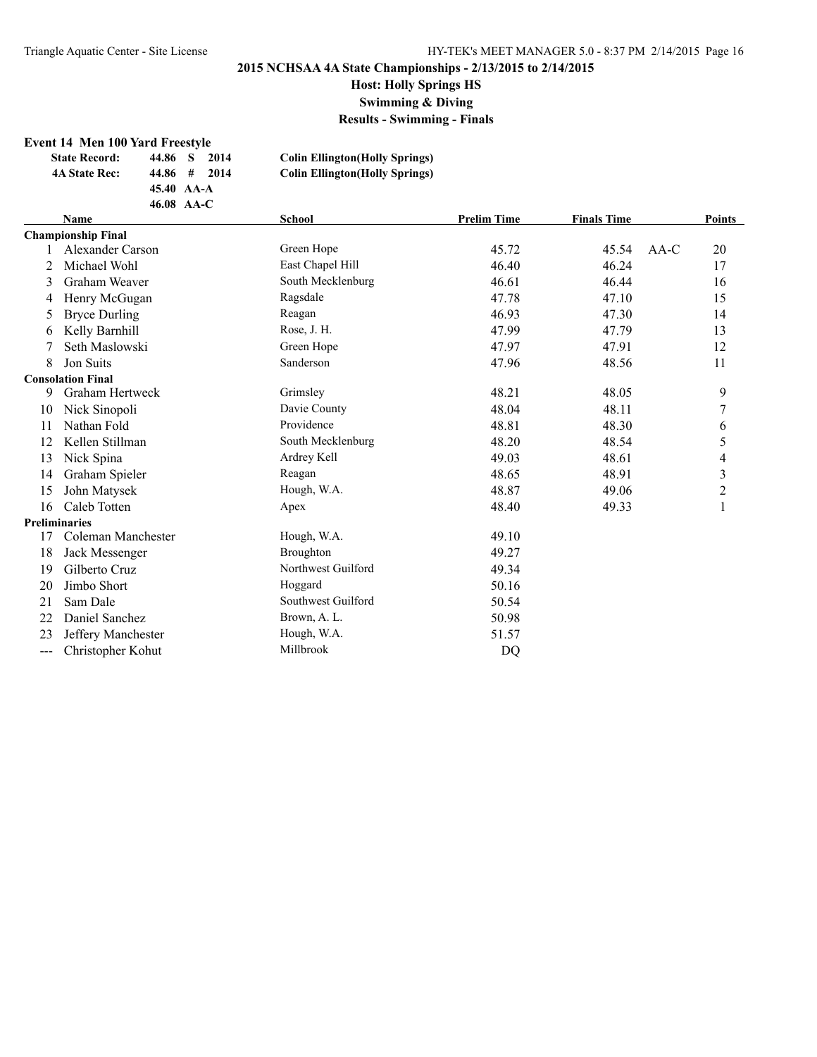**Host: Holly Springs HS**

**Swimming & Diving**

**Results - Swimming - Finals**

#### **Event 14 Men 100 Yard Freestyle**

| <b>State Record:</b> | 44.86 S | 2014                | <b>Colin Ellington</b> (Holly Springs) |
|----------------------|---------|---------------------|----------------------------------------|
| <b>4A State Rec:</b> |         | $44.86 \pm 2014$    | <b>Colin Ellington</b> (Holly Springs) |
|                      |         | $45.40 \text{AA-A}$ |                                        |
|                      |         | 46.08 AA-C          |                                        |

|       | <b>Name</b>               | <b>School</b>      | <b>Prelim Time</b> | <b>Finals Time</b> |        | <b>Points</b>           |
|-------|---------------------------|--------------------|--------------------|--------------------|--------|-------------------------|
|       | <b>Championship Final</b> |                    |                    |                    |        |                         |
|       | <b>Alexander Carson</b>   | Green Hope         | 45.72              | 45.54              | $AA-C$ | 20                      |
| 2     | Michael Wohl              | East Chapel Hill   | 46.40              | 46.24              |        | 17                      |
| 3     | Graham Weaver             | South Mecklenburg  | 46.61              | 46.44              |        | 16                      |
| 4     | Henry McGugan             | Ragsdale           | 47.78              | 47.10              |        | 15                      |
| 5     | <b>Bryce Durling</b>      | Reagan             | 46.93              | 47.30              |        | 14                      |
| 6     | Kelly Barnhill            | Rose, J. H.        | 47.99              | 47.79              |        | 13                      |
| 7     | Seth Maslowski            | Green Hope         | 47.97              | 47.91              |        | 12                      |
| 8     | Jon Suits                 | Sanderson          | 47.96              | 48.56              |        | 11                      |
|       | <b>Consolation Final</b>  |                    |                    |                    |        |                         |
| 9     | Graham Hertweck           | Grimsley           | 48.21              | 48.05              |        | 9                       |
| 10    | Nick Sinopoli             | Davie County       | 48.04              | 48.11              |        | 7                       |
| 11    | Nathan Fold               | Providence         | 48.81              | 48.30              |        | 6                       |
| 12    | Kellen Stillman           | South Mecklenburg  | 48.20              | 48.54              |        | 5                       |
| 13    | Nick Spina                | Ardrey Kell        | 49.03              | 48.61              |        | 4                       |
| 14    | Graham Spieler            | Reagan             | 48.65              | 48.91              |        | 3                       |
| 15    | John Matysek              | Hough, W.A.        | 48.87              | 49.06              |        | $\overline{\mathbf{c}}$ |
| 16    | Caleb Totten              | Apex               | 48.40              | 49.33              |        | 1                       |
|       | <b>Preliminaries</b>      |                    |                    |                    |        |                         |
| 17    | Coleman Manchester        | Hough, W.A.        | 49.10              |                    |        |                         |
| 18    | Jack Messenger            | Broughton          | 49.27              |                    |        |                         |
| 19    | Gilberto Cruz             | Northwest Guilford | 49.34              |                    |        |                         |
| 20    | Jimbo Short               | Hoggard            | 50.16              |                    |        |                         |
| 21    | Sam Dale                  | Southwest Guilford | 50.54              |                    |        |                         |
| 22    | Daniel Sanchez            | Brown, A. L.       | 50.98              |                    |        |                         |
| 23    | Jeffery Manchester        | Hough, W.A.        | 51.57              |                    |        |                         |
| $---$ | Christopher Kohut         | Millbrook          | DQ                 |                    |        |                         |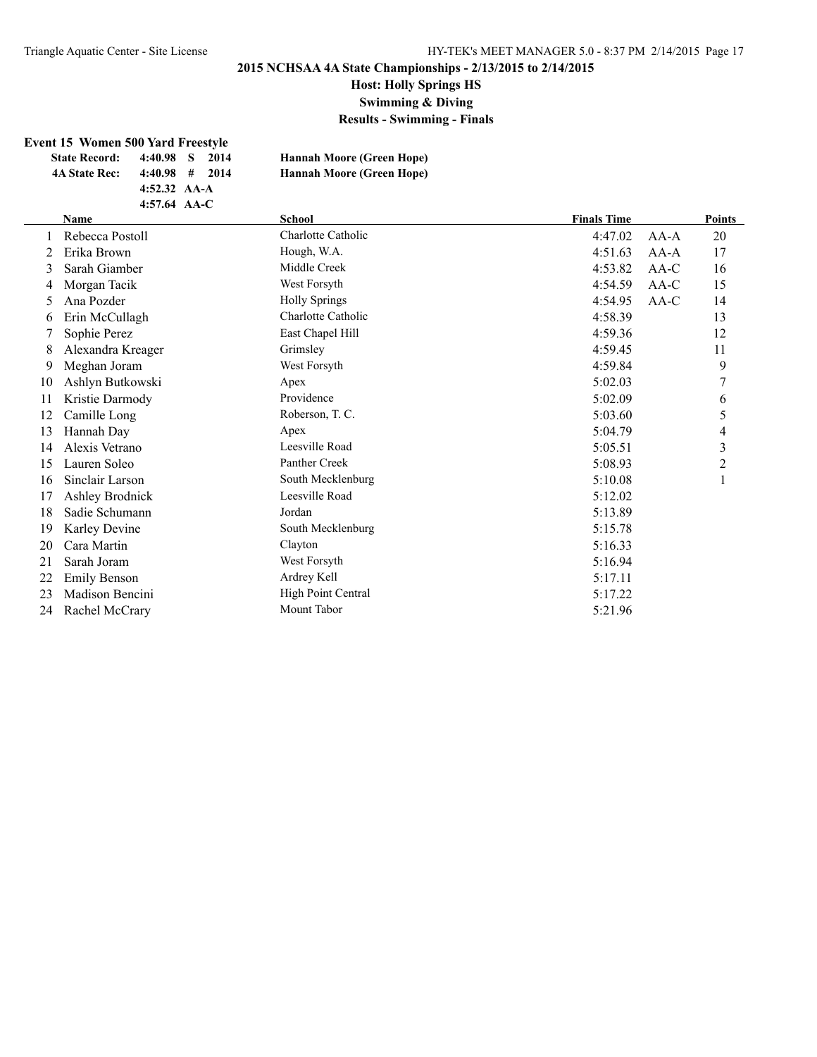## **Host: Holly Springs HS**

**Swimming & Diving**

**Results - Swimming - Finals**

#### **Event 15 Women 500 Yard Freestyle**

| <b>State Record:</b> | 4:40.98 S 2014   |  | <b>Hannah Moore (Green Hope)</b> |
|----------------------|------------------|--|----------------------------------|
| <b>4A State Rec:</b> | $4:40.98$ # 2014 |  | <b>Hannah Moore (Green Hope)</b> |
|                      | 4:52.32 $AA-A$   |  |                                  |
|                      | 4:57.64 $AA-C$   |  |                                  |

|    | Name                | <b>School</b>        | <b>Finals Time</b> |        | <b>Points</b>  |
|----|---------------------|----------------------|--------------------|--------|----------------|
|    | Rebecca Postoll     | Charlotte Catholic   | 4:47.02            | AA-A   | 20             |
| 2  | Erika Brown         | Hough, W.A.          | 4:51.63            | $AA-A$ | 17             |
| 3  | Sarah Giamber       | Middle Creek         | 4:53.82            | AA-C   | 16             |
| 4  | Morgan Tacik        | West Forsyth         | 4:54.59            | AA-C   | 15             |
| 5  | Ana Pozder          | <b>Holly Springs</b> | 4:54.95            | $AA-C$ | 14             |
| 6  | Erin McCullagh      | Charlotte Catholic   | 4:58.39            |        | 13             |
|    | Sophie Perez        | East Chapel Hill     | 4:59.36            |        | 12             |
| 8  | Alexandra Kreager   | Grimsley             | 4:59.45            |        | 11             |
| 9  | Meghan Joram        | West Forsyth         | 4:59.84            |        | 9              |
| 10 | Ashlyn Butkowski    | Apex                 | 5:02.03            |        | 7              |
| 11 | Kristie Darmody     | Providence           | 5:02.09            |        | 6              |
| 12 | Camille Long        | Roberson, T. C.      | 5:03.60            |        | 5              |
| 13 | Hannah Day          | Apex                 | 5:04.79            |        | 4              |
| 14 | Alexis Vetrano      | Leesville Road       | 5:05.51            |        | $\mathfrak{Z}$ |
| 15 | Lauren Soleo        | Panther Creek        | 5:08.93            |        | $\overline{2}$ |
| 16 | Sinclair Larson     | South Mecklenburg    | 5:10.08            |        |                |
| 17 | Ashley Brodnick     | Leesville Road       | 5:12.02            |        |                |
| 18 | Sadie Schumann      | Jordan               | 5:13.89            |        |                |
| 19 | Karley Devine       | South Mecklenburg    | 5:15.78            |        |                |
| 20 | Cara Martin         | Clayton              | 5:16.33            |        |                |
| 21 | Sarah Joram         | West Forsyth         | 5:16.94            |        |                |
| 22 | <b>Emily Benson</b> | Ardrey Kell          | 5:17.11            |        |                |
| 23 | Madison Bencini     | High Point Central   | 5:17.22            |        |                |
| 24 | Rachel McCrary      | Mount Tabor          | 5:21.96            |        |                |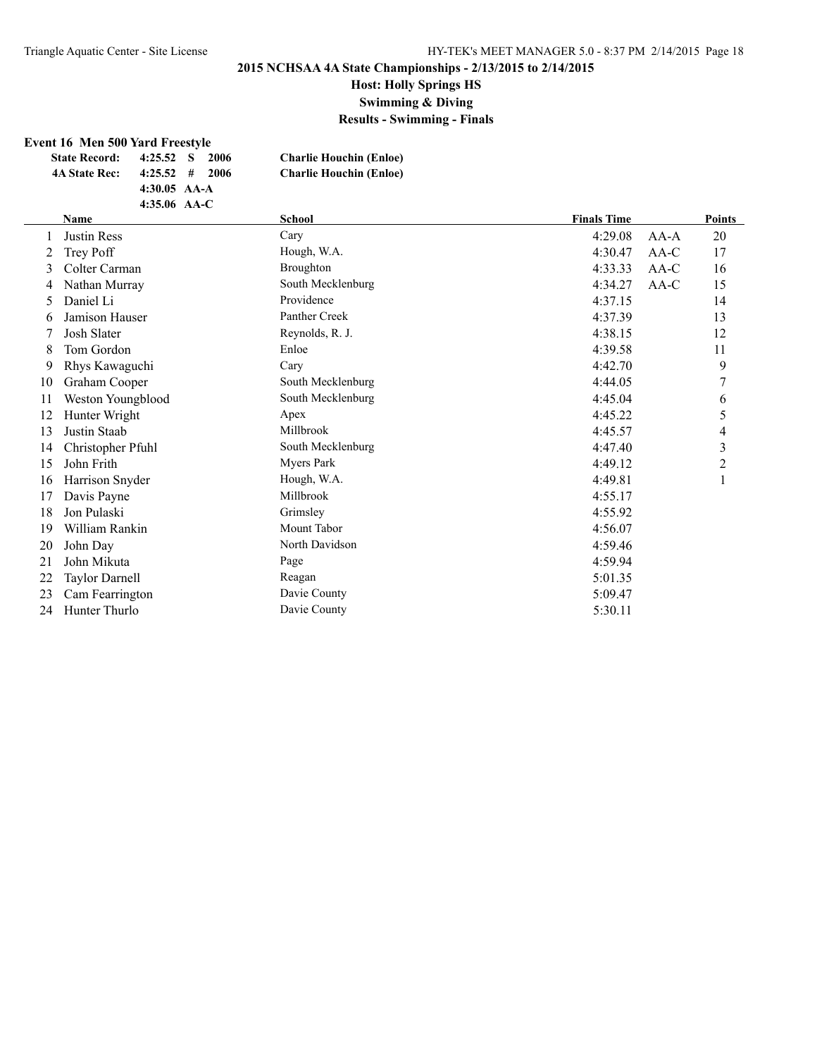# **Host: Holly Springs HS**

**Swimming & Diving**

**Results - Swimming - Finals**

#### **Event 16 Men 500 Yard Freestyle**

| <b>State Record:</b> | 4:25.52 S      | -2006                        | <b>Charlie Houchin (Enloe)</b> |
|----------------------|----------------|------------------------------|--------------------------------|
| <b>4A State Rec:</b> |                | $4:25.52 \quad # \quad 2006$ | <b>Charlie Houchin (Enloe)</b> |
|                      | 4:30.05 $AA-A$ |                              |                                |
|                      | 4:35.06 $AA-C$ |                              |                                |

|              | Name                  | <b>School</b>     | <b>Finals Time</b> |        | <b>Points</b>  |
|--------------|-----------------------|-------------------|--------------------|--------|----------------|
| $\mathbf{I}$ | <b>Justin Ress</b>    | Cary              | 4:29.08            | $AA-A$ | 20             |
| 2            | Trey Poff             | Hough, W.A.       | 4:30.47            | $AA-C$ | 17             |
| 3            | Colter Carman         | <b>Broughton</b>  | 4:33.33            | $AA-C$ | 16             |
| 4            | Nathan Murray         | South Mecklenburg | 4:34.27            | $AA-C$ | 15             |
| 5            | Daniel Li             | Providence        | 4:37.15            |        | 14             |
| 6            | Jamison Hauser        | Panther Creek     | 4:37.39            |        | 13             |
|              | Josh Slater           | Reynolds, R. J.   | 4:38.15            |        | 12             |
| 8            | Tom Gordon            | Enloe             | 4:39.58            |        | 11             |
| 9            | Rhys Kawaguchi        | Cary              | 4:42.70            |        | 9              |
| 10           | Graham Cooper         | South Mecklenburg | 4:44.05            |        | 7              |
| 11           | Weston Youngblood     | South Mecklenburg | 4:45.04            |        | 6              |
| 12           | Hunter Wright         | Apex              | 4:45.22            |        | 5              |
| 13           | Justin Staab          | Millbrook         | 4:45.57            |        | 4              |
| 14           | Christopher Pfuhl     | South Mecklenburg | 4:47.40            |        | $\mathfrak{Z}$ |
| 15           | John Frith            | Myers Park        | 4:49.12            |        | 2              |
| 16           | Harrison Snyder       | Hough, W.A.       | 4:49.81            |        |                |
| 17           | Davis Payne           | Millbrook         | 4:55.17            |        |                |
| 18           | Jon Pulaski           | Grimsley          | 4:55.92            |        |                |
| 19           | William Rankin        | Mount Tabor       | 4:56.07            |        |                |
| 20           | John Day              | North Davidson    | 4:59.46            |        |                |
| 21           | John Mikuta           | Page              | 4:59.94            |        |                |
| 22           | <b>Taylor Darnell</b> | Reagan            | 5:01.35            |        |                |
| 23           | Cam Fearrington       | Davie County      | 5:09.47            |        |                |
| 24           | Hunter Thurlo         | Davie County      | 5:30.11            |        |                |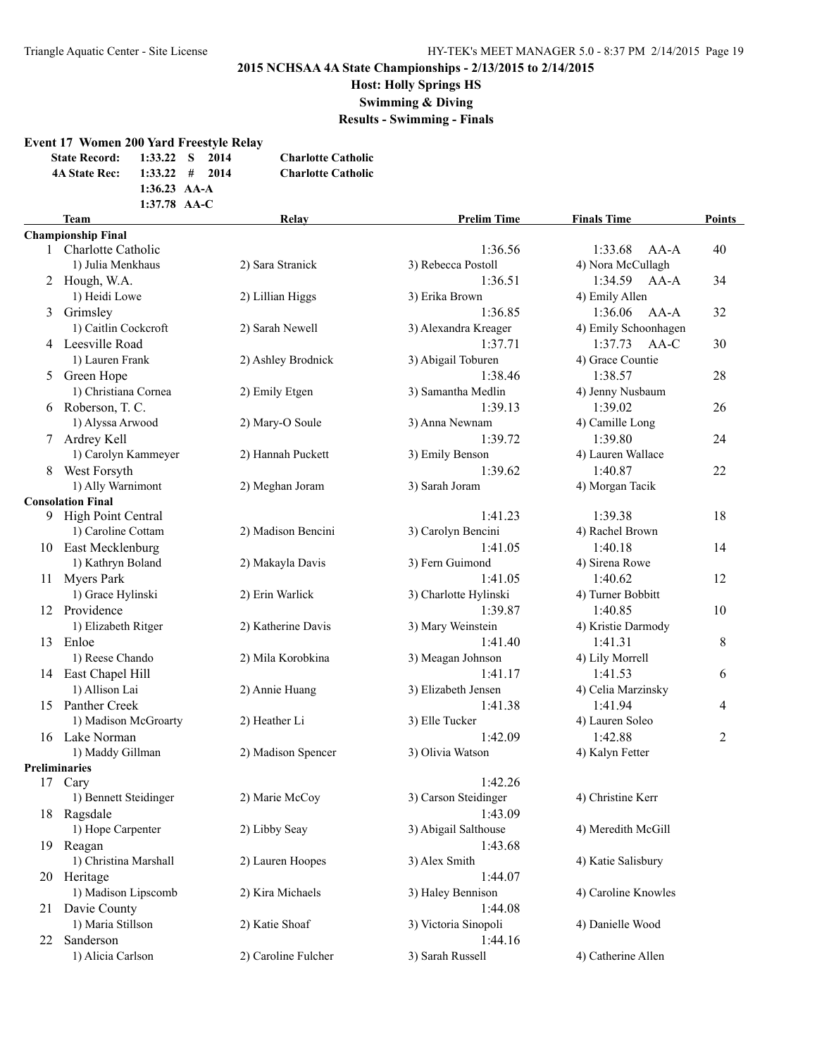**Event 17 Women 200 Yard Freestyle Relay**

## **2015 NCHSAA 4A State Championships - 2/13/2015 to 2/14/2015**

**Host: Holly Springs HS**

**Swimming & Diving**

**Results - Swimming - Finals**

|    | <b>State Record:</b><br><b>4A State Rec:</b> | 1:33.22<br>1:33.22<br>1:36.23 AA-A<br>1:37.78 AA-C | S<br># | 2014<br>2014 | <b>Charlotte Catholic</b><br><b>Charlotte Catholic</b> |                                 |                                 |                |
|----|----------------------------------------------|----------------------------------------------------|--------|--------------|--------------------------------------------------------|---------------------------------|---------------------------------|----------------|
|    | <b>Team</b>                                  |                                                    |        |              | Relay                                                  | <b>Prelim Time</b>              | <b>Finals Time</b>              | <b>Points</b>  |
|    | <b>Championship Final</b>                    |                                                    |        |              |                                                        |                                 |                                 |                |
|    | 1 Charlotte Catholic                         |                                                    |        |              |                                                        | 1:36.56                         | 1:33.68<br>$AA-A$               | 40             |
|    | 1) Julia Menkhaus                            |                                                    |        |              | 2) Sara Stranick                                       | 3) Rebecca Postoll              | 4) Nora McCullagh               |                |
|    | 2 Hough, W.A.                                |                                                    |        |              |                                                        | 1:36.51                         | 1:34.59<br>$AA-A$               | 34             |
|    | 1) Heidi Lowe                                |                                                    |        |              | 2) Lillian Higgs                                       | 3) Erika Brown                  | 4) Emily Allen<br>$AA-A$        |                |
|    | 3 Grimsley<br>1) Caitlin Cockcroft           |                                                    |        |              |                                                        | 1:36.85<br>3) Alexandra Kreager | 1:36.06<br>4) Emily Schoonhagen | 32             |
|    | 4 Leesville Road                             |                                                    |        |              | 2) Sarah Newell                                        | 1:37.71                         | 1:37.73<br>AA-C                 |                |
|    | 1) Lauren Frank                              |                                                    |        |              | 2) Ashley Brodnick                                     | 3) Abigail Toburen              | 4) Grace Countie                | 30             |
|    | 5 Green Hope                                 |                                                    |        |              |                                                        | 1:38.46                         | 1:38.57                         | 28             |
|    | 1) Christiana Cornea                         |                                                    |        |              | 2) Emily Etgen                                         | 3) Samantha Medlin              | 4) Jenny Nusbaum                |                |
|    | 6 Roberson, T. C.                            |                                                    |        |              |                                                        | 1:39.13                         | 1:39.02                         | 26             |
|    | 1) Alyssa Arwood                             |                                                    |        |              | 2) Mary-O Soule                                        | 3) Anna Newnam                  | 4) Camille Long                 |                |
|    | 7 Ardrey Kell                                |                                                    |        |              |                                                        | 1:39.72                         | 1:39.80                         | 24             |
|    | 1) Carolyn Kammeyer                          |                                                    |        |              | 2) Hannah Puckett                                      | 3) Emily Benson                 | 4) Lauren Wallace               |                |
| 8  | West Forsyth                                 |                                                    |        |              |                                                        | 1:39.62                         | 1:40.87                         | 22             |
|    | 1) Ally Warnimont                            |                                                    |        |              | 2) Meghan Joram                                        | 3) Sarah Joram                  | 4) Morgan Tacik                 |                |
|    | <b>Consolation Final</b>                     |                                                    |        |              |                                                        |                                 |                                 |                |
|    | 9 High Point Central                         |                                                    |        |              |                                                        | 1:41.23                         | 1:39.38                         | 18             |
|    | 1) Caroline Cottam                           |                                                    |        |              | 2) Madison Bencini                                     | 3) Carolyn Bencini              | 4) Rachel Brown                 |                |
|    | 10 East Mecklenburg                          |                                                    |        |              |                                                        | 1:41.05                         | 1:40.18                         | 14             |
|    | 1) Kathryn Boland                            |                                                    |        |              | 2) Makayla Davis                                       | 3) Fern Guimond                 | 4) Sirena Rowe                  |                |
| 11 | <b>Myers Park</b>                            |                                                    |        |              |                                                        | 1:41.05                         | 1:40.62                         | 12             |
|    | 1) Grace Hylinski                            |                                                    |        |              | 2) Erin Warlick                                        | 3) Charlotte Hylinski           | 4) Turner Bobbitt               |                |
| 12 | Providence                                   |                                                    |        |              |                                                        | 1:39.87                         | 1:40.85                         | 10             |
|    | 1) Elizabeth Ritger                          |                                                    |        |              | 2) Katherine Davis                                     | 3) Mary Weinstein               | 4) Kristie Darmody              |                |
| 13 | Enloe                                        |                                                    |        |              |                                                        | 1:41.40                         | 1:41.31                         | 8              |
|    | 1) Reese Chando                              |                                                    |        |              | 2) Mila Korobkina                                      | 3) Meagan Johnson               | 4) Lily Morrell                 |                |
|    | 14 East Chapel Hill                          |                                                    |        |              |                                                        | 1:41.17                         | 1:41.53                         | 6              |
|    | 1) Allison Lai                               |                                                    |        |              | 2) Annie Huang                                         | 3) Elizabeth Jensen             | 4) Celia Marzinsky              |                |
|    | 15 Panther Creek<br>1) Madison McGroarty     |                                                    |        |              |                                                        | 1:41.38<br>3) Elle Tucker       | 1:41.94<br>4) Lauren Soleo      | 4              |
|    | 16 Lake Norman                               |                                                    |        |              | 2) Heather Li                                          | 1:42.09                         | 1:42.88                         | $\overline{2}$ |
|    | 1) Maddy Gillman                             |                                                    |        |              | 2) Madison Spencer                                     | 3) Olivia Watson                | 4) Kalyn Fetter                 |                |
|    | <b>Preliminaries</b>                         |                                                    |        |              |                                                        |                                 |                                 |                |
|    | 17 Cary                                      |                                                    |        |              |                                                        | 1:42.26                         |                                 |                |
|    | 1) Bennett Steidinger                        |                                                    |        |              | 2) Marie McCoy                                         | 3) Carson Steidinger            | 4) Christine Kerr               |                |
|    | 18 Ragsdale                                  |                                                    |        |              |                                                        | 1:43.09                         |                                 |                |
|    | 1) Hope Carpenter                            |                                                    |        |              | 2) Libby Seay                                          | 3) Abigail Salthouse            | 4) Meredith McGill              |                |
| 19 | Reagan                                       |                                                    |        |              |                                                        | 1:43.68                         |                                 |                |
|    | 1) Christina Marshall                        |                                                    |        |              | 2) Lauren Hoopes                                       | 3) Alex Smith                   | 4) Katie Salisbury              |                |
|    | 20 Heritage                                  |                                                    |        |              |                                                        | 1:44.07                         |                                 |                |
|    | 1) Madison Lipscomb                          |                                                    |        |              | 2) Kira Michaels                                       | 3) Haley Bennison               | 4) Caroline Knowles             |                |
| 21 | Davie County                                 |                                                    |        |              |                                                        | 1:44.08                         |                                 |                |
|    | 1) Maria Stillson                            |                                                    |        |              | 2) Katie Shoaf                                         | 3) Victoria Sinopoli            | 4) Danielle Wood                |                |
| 22 | Sanderson                                    |                                                    |        |              |                                                        | 1:44.16                         |                                 |                |
|    | 1) Alicia Carlson                            |                                                    |        |              | 2) Caroline Fulcher                                    | 3) Sarah Russell                | 4) Catherine Allen              |                |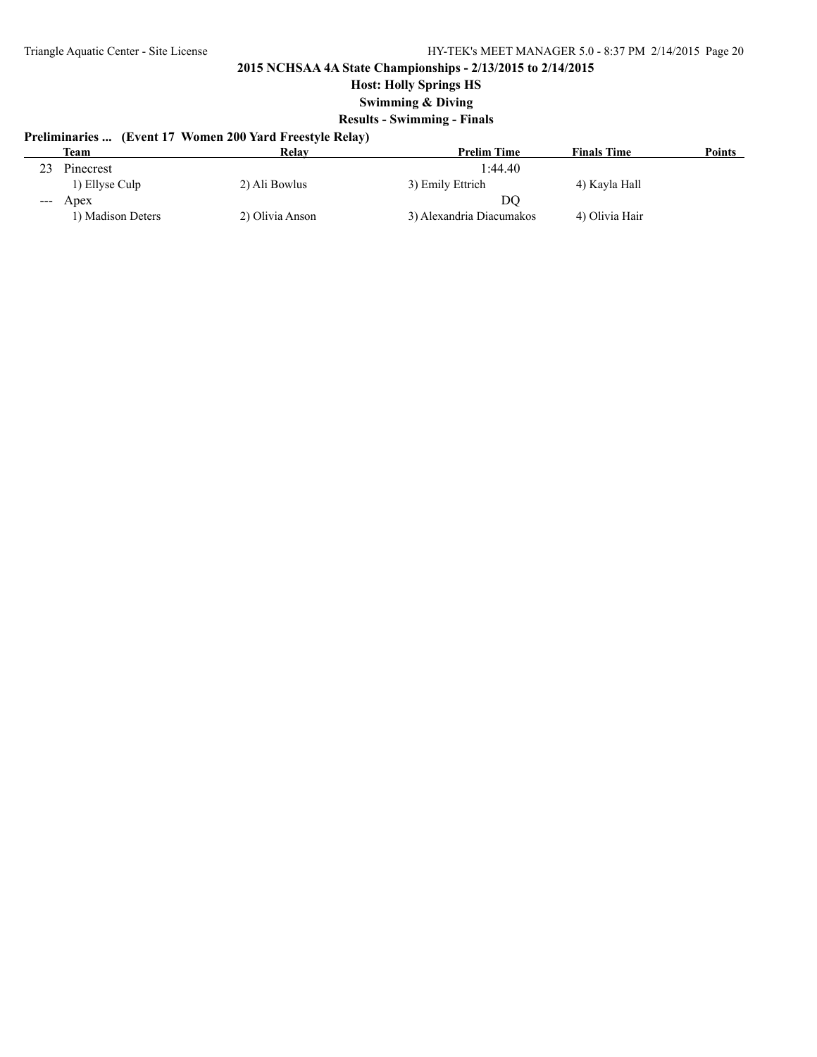**Host: Holly Springs HS**

**Swimming & Diving**

## **Results - Swimming - Finals**

# **Preliminaries ... (Event 17 Women 200 Yard Freestyle Relay)**

|     | Team              | Relay           | <b>Prelim Time</b>       | <b>Finals Time</b> | <b>Points</b> |
|-----|-------------------|-----------------|--------------------------|--------------------|---------------|
| 23  | Pinecrest         |                 | 1:44.40                  |                    |               |
|     | 1) Ellyse Culp    | 2) Ali Bowlus   | 3) Emily Ettrich         | 4) Kayla Hall      |               |
| --- | Apex              |                 | DC                       |                    |               |
|     | 1) Madison Deters | 2) Olivia Anson | 3) Alexandria Diacumakos | 4) Olivia Hair     |               |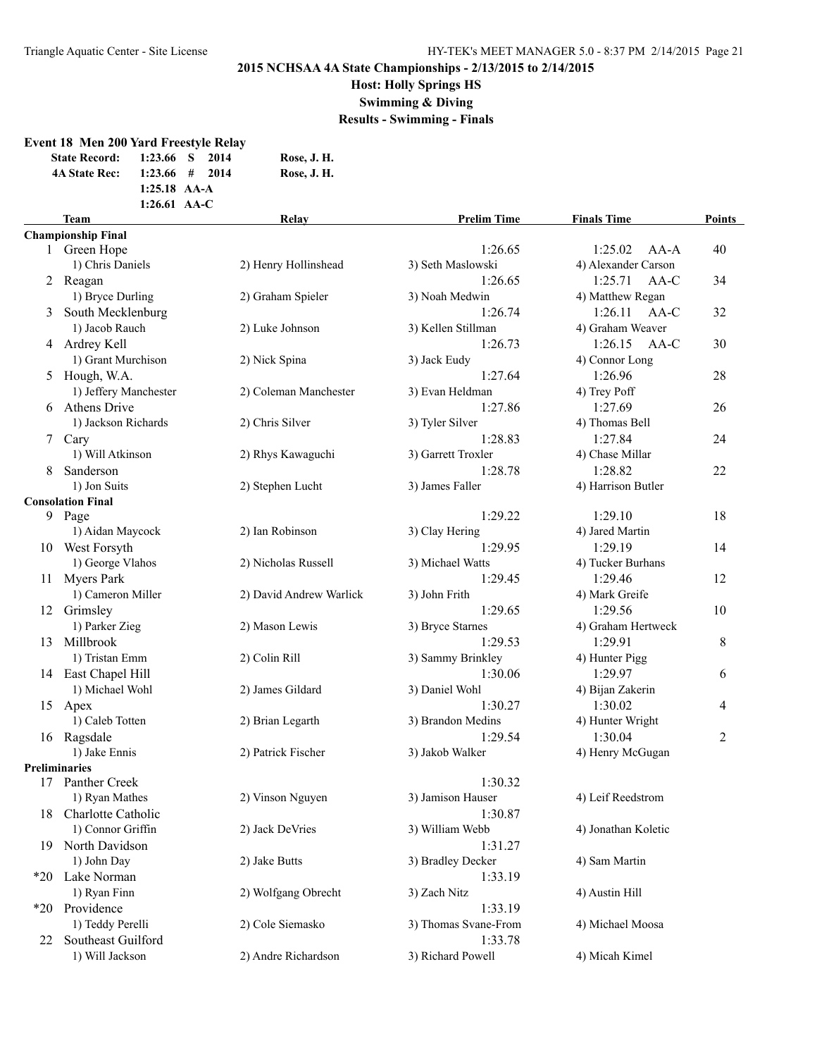**Host: Holly Springs HS**

**Swimming & Diving**

**Results - Swimming - Finals**

## **Event 18 Men 200 Yard Freestyle Relay**

| <b>State Record:</b> | 1:23.66 S 2014   |  | Rose, J. H. |
|----------------------|------------------|--|-------------|
| <b>4A State Rec:</b> | $1:23.66$ # 2014 |  | Rose, J. H. |
|                      | $1:25.18$ AA-A   |  |             |
|                      | 1:26.61 $AA-C$   |  |             |
| Team                 |                  |  | Relav       |

|                 | 1:26.61 $AA-C$            |                         |                      |                     |        |
|-----------------|---------------------------|-------------------------|----------------------|---------------------|--------|
|                 | <b>Team</b>               | Relay                   | <b>Prelim Time</b>   | <b>Finals Time</b>  | Points |
|                 | <b>Championship Final</b> |                         |                      |                     |        |
|                 | 1 Green Hope              |                         | 1:26.65              | 1:25.02<br>$AA-A$   | 40     |
|                 | 1) Chris Daniels          | 2) Henry Hollinshead    | 3) Seth Maslowski    | 4) Alexander Carson |        |
|                 | 2 Reagan                  |                         | 1:26.65              | 1:25.71<br>AA-C     | 34     |
|                 | 1) Bryce Durling          | 2) Graham Spieler       | 3) Noah Medwin       | 4) Matthew Regan    |        |
| 3               | South Mecklenburg         |                         | 1:26.74              | 1:26.11<br>AA-C     | 32     |
|                 | 1) Jacob Rauch            | 2) Luke Johnson         | 3) Kellen Stillman   | 4) Graham Weaver    |        |
|                 | 4 Ardrey Kell             |                         | 1:26.73              | 1:26.15<br>$AA-C$   | 30     |
|                 | 1) Grant Murchison        | 2) Nick Spina           | 3) Jack Eudy         | 4) Connor Long      |        |
| 5               | Hough, W.A.               |                         | 1:27.64              | 1:26.96             | 28     |
|                 | 1) Jeffery Manchester     | 2) Coleman Manchester   | 3) Evan Heldman      | 4) Trey Poff        |        |
| 6               | <b>Athens Drive</b>       |                         | 1:27.86              | 1:27.69             | 26     |
|                 | 1) Jackson Richards       | 2) Chris Silver         | 3) Tyler Silver      | 4) Thomas Bell      |        |
| $7\phantom{.0}$ | Cary                      |                         | 1:28.83              | 1:27.84             | 24     |
|                 | 1) Will Atkinson          | 2) Rhys Kawaguchi       | 3) Garrett Troxler   | 4) Chase Millar     |        |
| 8               | Sanderson                 |                         | 1:28.78              | 1:28.82             | 22     |
|                 | 1) Jon Suits              | 2) Stephen Lucht        | 3) James Faller      | 4) Harrison Butler  |        |
|                 | <b>Consolation Final</b>  |                         |                      |                     |        |
| 9               | Page                      |                         | 1:29.22              | 1:29.10             | 18     |
|                 | 1) Aidan Maycock          | 2) Ian Robinson         | 3) Clay Hering       | 4) Jared Martin     |        |
|                 | 10 West Forsyth           |                         | 1:29.95              | 1:29.19             | 14     |
|                 | 1) George Vlahos          | 2) Nicholas Russell     | 3) Michael Watts     | 4) Tucker Burhans   |        |
| 11              | <b>Myers Park</b>         |                         | 1:29.45              | 1:29.46             | 12     |
|                 | 1) Cameron Miller         | 2) David Andrew Warlick | 3) John Frith        | 4) Mark Greife      |        |
| 12              | Grimsley                  |                         | 1:29.65              | 1:29.56             | 10     |
|                 | 1) Parker Zieg            | 2) Mason Lewis          | 3) Bryce Starnes     | 4) Graham Hertweck  |        |
| 13              | Millbrook                 |                         | 1:29.53              | 1:29.91             | 8      |
|                 | 1) Tristan Emm            | 2) Colin Rill           | 3) Sammy Brinkley    | 4) Hunter Pigg      |        |
| 14              | East Chapel Hill          |                         | 1:30.06              | 1:29.97             | 6      |
|                 | 1) Michael Wohl           | 2) James Gildard        | 3) Daniel Wohl       | 4) Bijan Zakerin    |        |
| 15              | Apex                      |                         | 1:30.27              | 1:30.02             | 4      |
|                 | 1) Caleb Totten           | 2) Brian Legarth        | 3) Brandon Medins    | 4) Hunter Wright    |        |
| 16              | Ragsdale                  |                         | 1:29.54              | 1:30.04             | 2      |
|                 | 1) Jake Ennis             | 2) Patrick Fischer      | 3) Jakob Walker      | 4) Henry McGugan    |        |
|                 | <b>Preliminaries</b>      |                         |                      |                     |        |
| 17              | Panther Creek             |                         | 1:30.32              |                     |        |
|                 | 1) Ryan Mathes            | 2) Vinson Nguyen        | 3) Jamison Hauser    | 4) Leif Reedstrom   |        |
| 18              | Charlotte Catholic        |                         | 1:30.87              |                     |        |
|                 | 1) Connor Griffin         | 2) Jack DeVries         | 3) William Webb      | 4) Jonathan Koletic |        |
| 19.             | North Davidson            |                         | 1:31.27              |                     |        |
|                 | 1) John Day               | 2) Jake Butts           | 3) Bradley Decker    | 4) Sam Martin       |        |
|                 | *20 Lake Norman           |                         | 1:33.19              |                     |        |
|                 | 1) Ryan Finn              | 2) Wolfgang Obrecht     | 3) Zach Nitz         | 4) Austin Hill      |        |
| $*20$           | Providence                |                         | 1:33.19              |                     |        |
|                 | 1) Teddy Perelli          | 2) Cole Siemasko        | 3) Thomas Svane-From | 4) Michael Moosa    |        |
| 22              | Southeast Guilford        |                         | 1:33.78              |                     |        |
|                 | 1) Will Jackson           | 2) Andre Richardson     | 3) Richard Powell    | 4) Micah Kimel      |        |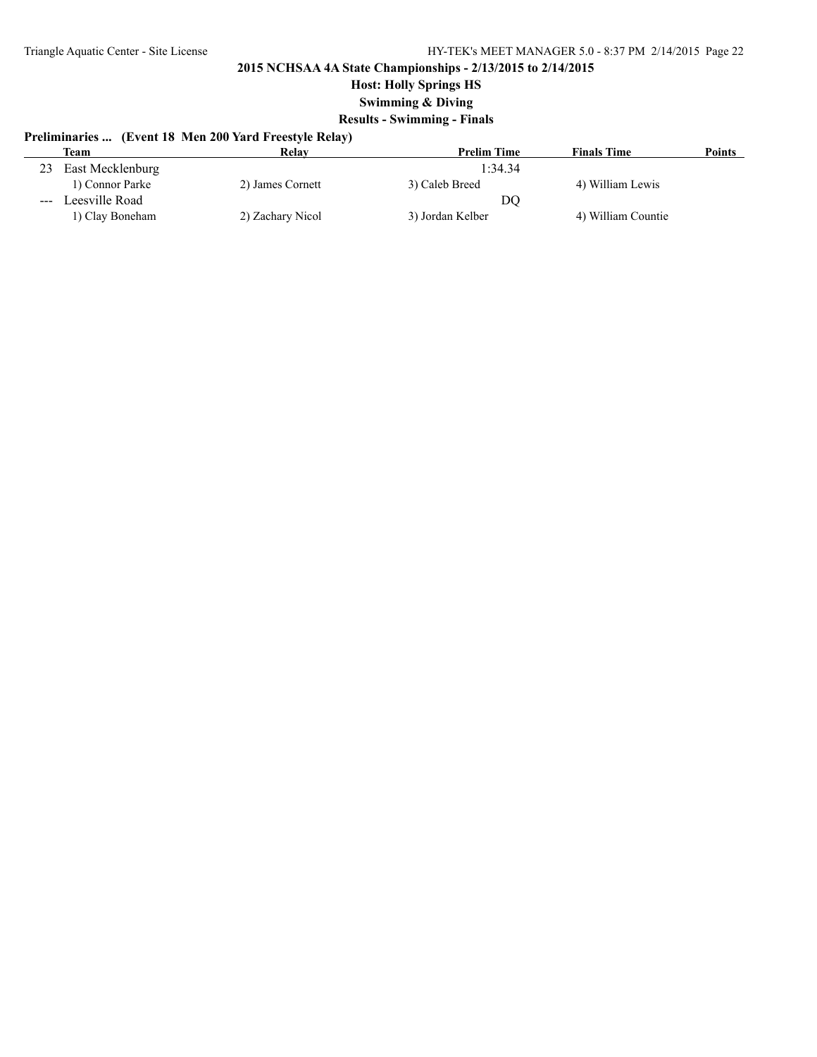**Host: Holly Springs HS**

**Swimming & Diving**

## **Results - Swimming - Finals**

## **Preliminaries ... (Event 18 Men 200 Yard Freestyle Relay)**

|                                                                                                | Team             | Relay            | <b>Prelim Time</b> | <b>Finals Time</b> | <b>Points</b> |
|------------------------------------------------------------------------------------------------|------------------|------------------|--------------------|--------------------|---------------|
| 23                                                                                             | East Mecklenburg |                  | 1:34.34            |                    |               |
|                                                                                                | 1) Connor Parke  | 2) James Cornett | 3) Caleb Breed     | 4) William Lewis   |               |
| $\frac{1}{2} \left( \frac{1}{2} \right) \left( \frac{1}{2} \right) \left( \frac{1}{2} \right)$ | Leesville Road   |                  | DO                 |                    |               |
|                                                                                                | 1) Clay Boneham  | 2) Zachary Nicol | 3) Jordan Kelber   | 4) William Countie |               |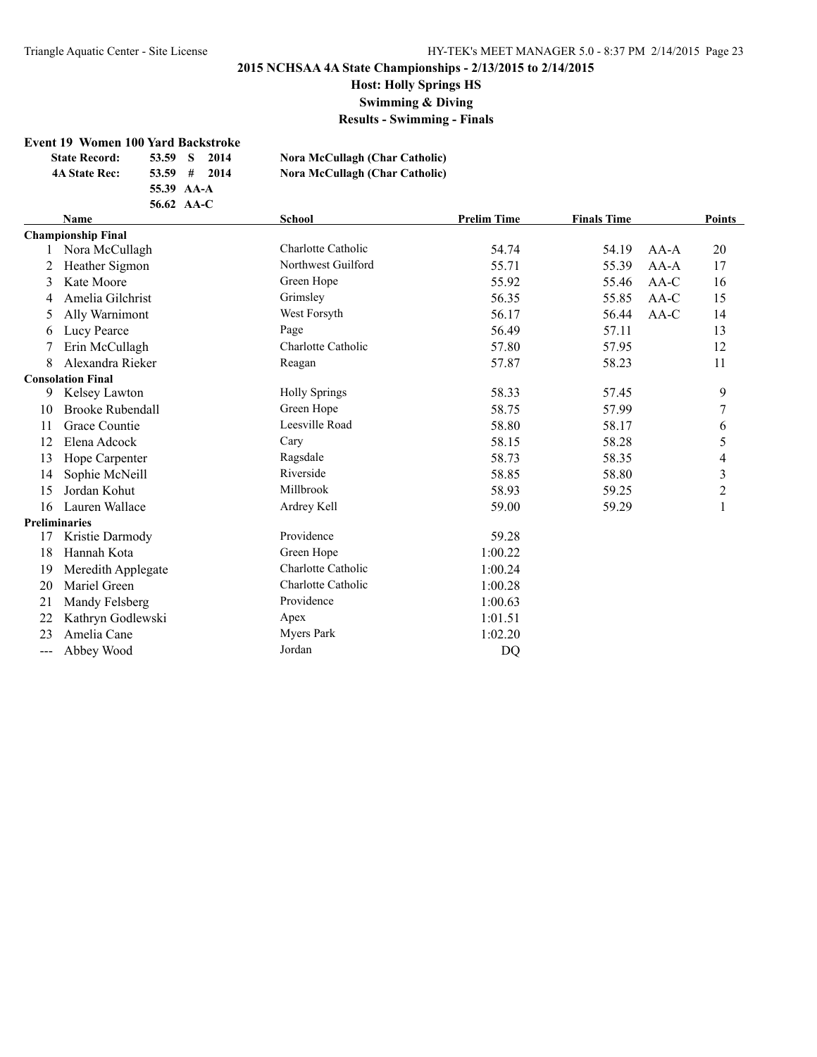**Host: Holly Springs HS**

**Swimming & Diving**

**Results - Swimming - Finals**

#### **Event 19 Women 100 Yard Backstroke**

| <b>State Record:</b> | 53.59      | - S | 2014 | Nora McCullagh (Char Catholic) |
|----------------------|------------|-----|------|--------------------------------|
| 4A State Rec:        | $53.59$ #  |     | 2014 | Nora McCullagh (Char Catholic) |
|                      | 55.39 AA-A |     |      |                                |
|                      | 56.62 AA-C |     |      |                                |

## **Name School Prelim Time Finals Time Points Championship Final** 1 Nora McCullagh Charlotte Catholic 54.74 54.19 AA-A 20 2 Heather Sigmon 17 Northwest Guilford 55.71 55.39 AA-A 17 3 Kate Moore Green Hope 55.92 55.46 AA-C 16 4 Amelia Gilchrist Grimsley Grimsley 56.35 55.85 AA-C 15 5 Ally Warnimont West Forsyth 56.17 56.44 AA-C 14 6 Lucy Pearce 20 Page 20 Page 36.49 57.11 13 7 Erin McCullagh Charlotte Catholic 57.80 57.95 12 8 Alexandra Rieker Reagan Reagan 57.87 58.23 11 **Consolation Final** 9 Kelsey Lawton Holly Springs 58.33 57.45 9 10 Brooke Rubendall Green Hope 58.75 57.99 7 11 Grace Countie **11 Grace Countie 12 Countie** Leesville Road 58.80 58.17 6 12 Elena Adcock Cary Cary 58.15 58.28 5 13 Hope Carpenter **Ragsdale Ragsdale** 58.73 58.35 4 14 Sophie McNeill **Riverside** 58.85 58.80 3 15 Jordan Kohut Millbrook 58.93 59.25 2 16 Lauren Wallace **16 Lauren Wallace** 16 Lauren Wallace 16 Ardrey Kell 59.00 59.29 1 **Preliminaries** 17 Kristie Darmody Providence 59.28 18 Hannah Kota Green Hope 1:00.22 19 Meredith Applegate Charlotte Catholic 1:00.24 20 Mariel Green Charlotte Catholic 1:00.28 21 Mandy Felsberg Providence 1:00.63 22 Kathryn Godlewski Apex 1:01.51 23 Amelia Cane Myers Park 1:02.20

-- Abbey Wood Jordan Jordan DQ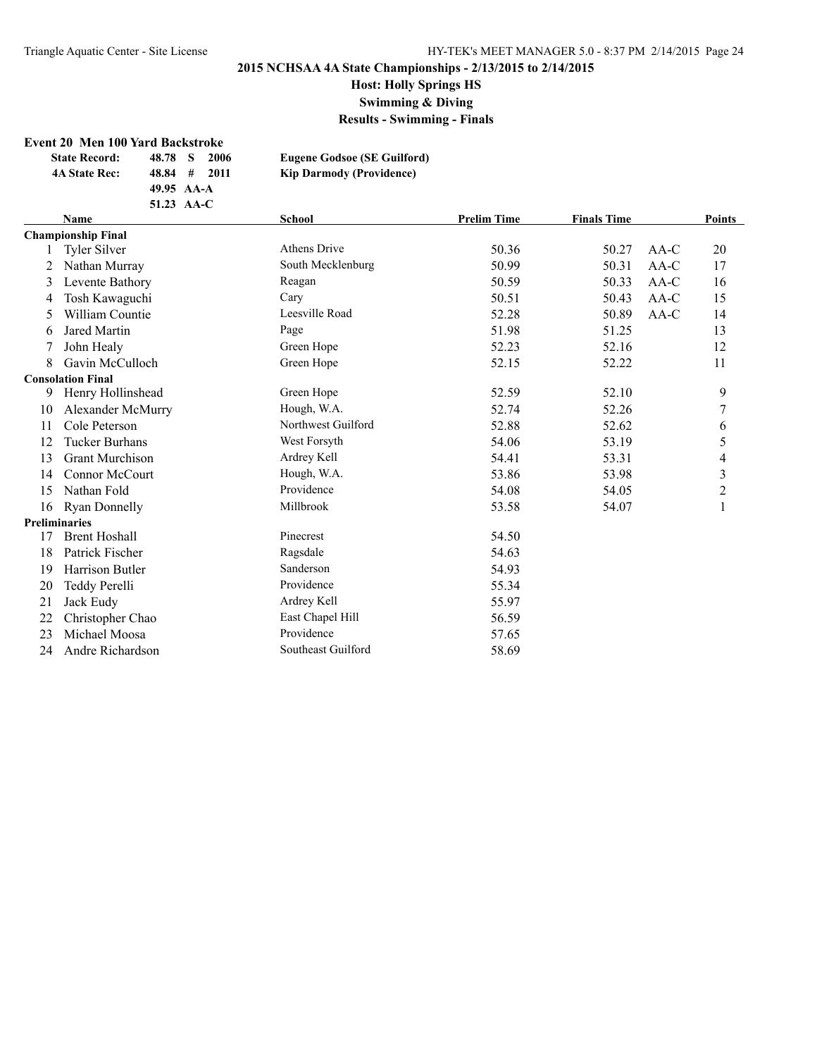**Host: Holly Springs HS**

**Swimming & Diving**

**Results - Swimming - Finals**

### **Event 20 Men 100 Yard Backstroke**

|                      | <b>Event 20 Men 100 Yard Backstroke</b> |            |              |      |                                    |                    |                    |        |                  |
|----------------------|-----------------------------------------|------------|--------------|------|------------------------------------|--------------------|--------------------|--------|------------------|
|                      | <b>State Record:</b>                    | 48.78      | <sub>S</sub> | 2006 | <b>Eugene Godsoe (SE Guilford)</b> |                    |                    |        |                  |
|                      | <b>4A State Rec:</b>                    | 48.84      | #            | 2011 | <b>Kip Darmody (Providence)</b>    |                    |                    |        |                  |
|                      |                                         | 49.95 AA-A |              |      |                                    |                    |                    |        |                  |
|                      |                                         | 51.23 AA-C |              |      |                                    |                    |                    |        |                  |
|                      | <b>Name</b>                             |            |              |      | <b>School</b>                      | <b>Prelim Time</b> | <b>Finals Time</b> |        | <b>Points</b>    |
|                      | <b>Championship Final</b>               |            |              |      |                                    |                    |                    |        |                  |
|                      | <b>Tyler Silver</b>                     |            |              |      | Athens Drive                       | 50.36              | 50.27              | $AA-C$ | 20               |
| 2                    | Nathan Murray                           |            |              |      | South Mecklenburg                  | 50.99              | 50.31              | $AA-C$ | 17               |
| 3                    | Levente Bathory                         |            |              |      | Reagan                             | 50.59              | 50.33              | $AA-C$ | 16               |
| 4                    | Tosh Kawaguchi                          |            |              |      | Cary                               | 50.51              | 50.43              | $AA-C$ | 15               |
| 5                    | William Countie                         |            |              |      | Leesville Road                     | 52.28              | 50.89              | AA-C   | 14               |
| 6                    | <b>Jared Martin</b>                     |            |              |      | Page                               | 51.98              | 51.25              |        | 13               |
|                      | John Healy                              |            |              |      | Green Hope                         | 52.23              | 52.16              |        | 12               |
| 8                    | Gavin McCulloch                         |            |              |      | Green Hope                         | 52.15              | 52.22              |        | 11               |
|                      | <b>Consolation Final</b>                |            |              |      |                                    |                    |                    |        |                  |
| 9                    | Henry Hollinshead                       |            |              |      | Green Hope                         | 52.59              | 52.10              |        | 9                |
| 10                   | Alexander McMurry                       |            |              |      | Hough, W.A.                        | 52.74              | 52.26              |        | $\boldsymbol{7}$ |
| 11                   | Cole Peterson                           |            |              |      | Northwest Guilford                 | 52.88              | 52.62              |        | 6                |
| 12                   | <b>Tucker Burhans</b>                   |            |              |      | West Forsyth                       | 54.06              | 53.19              |        | 5                |
| 13                   | <b>Grant Murchison</b>                  |            |              |      | Ardrey Kell                        | 54.41              | 53.31              |        | 4                |
| 14                   | Connor McCourt                          |            |              |      | Hough, W.A.                        | 53.86              | 53.98              |        | 3                |
| 15                   | Nathan Fold                             |            |              |      | Providence                         | 54.08              | 54.05              |        | $\overline{c}$   |
| 16                   | <b>Ryan Donnelly</b>                    |            |              |      | Millbrook                          | 53.58              | 54.07              |        | 1                |
| <b>Preliminaries</b> |                                         |            |              |      |                                    |                    |                    |        |                  |
| 17                   | <b>Brent Hoshall</b>                    |            |              |      | Pinecrest                          | 54.50              |                    |        |                  |
| 18                   | Patrick Fischer                         |            |              |      | Ragsdale                           | 54.63              |                    |        |                  |
| 19                   | Harrison Butler                         |            |              |      | Sanderson                          | 54.93              |                    |        |                  |
| 20                   | Teddy Perelli                           |            |              |      | Providence                         | 55.34              |                    |        |                  |
| 21                   | Jack Eudy                               |            |              |      | Ardrey Kell                        | 55.97              |                    |        |                  |
| 22                   | Christopher Chao                        |            |              |      | East Chapel Hill                   | 56.59              |                    |        |                  |
| 23                   | Michael Moosa                           |            |              |      | Providence                         | 57.65              |                    |        |                  |

Andre Richardson Southeast Guilford 58.69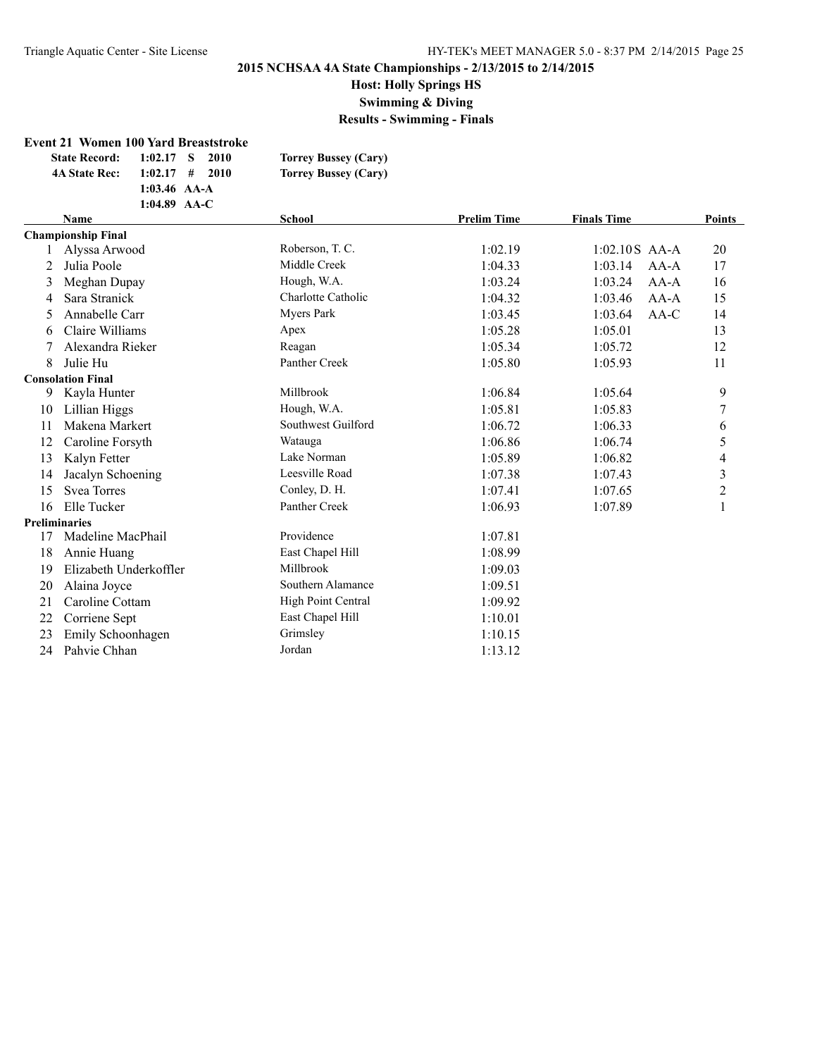**Host: Holly Springs HS**

**Swimming & Diving**

**Results - Swimming - Finals**

#### **Event 21 Women 100 Yard Breaststroke**

| <b>State Record:</b> | $1:02.17$ S    | 2010   | <b>Torrey Bussey (Cary)</b> |
|----------------------|----------------|--------|-----------------------------|
| <b>4A State Rec:</b> | $1:02.17$ #    | - 2010 | <b>Torrey Bussey (Cary)</b> |
|                      | 1:03.46 $AA-A$ |        |                             |
|                      | 1:04.89 $AA-C$ |        |                             |

|                      | <b>Name</b>               | <b>School</b>      | <b>Prelim Time</b> | <b>Finals Time</b> | <b>Points</b>  |
|----------------------|---------------------------|--------------------|--------------------|--------------------|----------------|
|                      | <b>Championship Final</b> |                    |                    |                    |                |
|                      | Alyssa Arwood             | Roberson, T. C.    | 1:02.19            | $1:02.10S$ AA-A    | 20             |
| 2                    | Julia Poole               | Middle Creek       | 1:04.33            | 1:03.14<br>$AA-A$  | 17             |
| 3                    | Meghan Dupay              | Hough, W.A.        | 1:03.24            | AA-A<br>1:03.24    | 16             |
| 4                    | Sara Stranick             | Charlotte Catholic | 1:04.32            | 1:03.46<br>$AA-A$  | 15             |
| 5                    | Annabelle Carr            | Myers Park         | 1:03.45            | 1:03.64<br>$AA-C$  | 14             |
| 6                    | Claire Williams           | Apex               | 1:05.28            | 1:05.01            | 13             |
|                      | Alexandra Rieker          | Reagan             | 1:05.34            | 1:05.72            | 12             |
| 8                    | Julie Hu                  | Panther Creek      | 1:05.80            | 1:05.93            | 11             |
|                      | <b>Consolation Final</b>  |                    |                    |                    |                |
| 9                    | Kayla Hunter              | Millbrook          | 1:06.84            | 1:05.64            | 9              |
| 10                   | Lillian Higgs             | Hough, W.A.        | 1:05.81            | 1:05.83            | $\tau$         |
| 11                   | Makena Markert            | Southwest Guilford | 1:06.72            | 1:06.33            | 6              |
| 12                   | Caroline Forsyth          | Watauga            | 1:06.86            | 1:06.74            | 5              |
| 13                   | Kalyn Fetter              | Lake Norman        | 1:05.89            | 1:06.82            | 4              |
| 14                   | Jacalyn Schoening         | Leesville Road     | 1:07.38            | 1:07.43            | $\mathfrak{Z}$ |
| 15                   | <b>Svea Torres</b>        | Conley, D. H.      | 1:07.41            | 1:07.65            | $\overline{c}$ |
| 16                   | Elle Tucker               | Panther Creek      | 1:06.93            | 1:07.89            |                |
| <b>Preliminaries</b> |                           |                    |                    |                    |                |
| 17                   | Madeline MacPhail         | Providence         | 1:07.81            |                    |                |
| 18                   | Annie Huang               | East Chapel Hill   | 1:08.99            |                    |                |
| 19                   | Elizabeth Underkoffler    | Millbrook          | 1:09.03            |                    |                |
| 20                   | Alaina Joyce              | Southern Alamance  | 1:09.51            |                    |                |
| 21                   | Caroline Cottam           | High Point Central | 1:09.92            |                    |                |
| 22                   | Corriene Sept             | East Chapel Hill   | 1:10.01            |                    |                |
| 23                   | Emily Schoonhagen         | Grimsley           | 1:10.15            |                    |                |
| 24                   | Pahvie Chhan              | Jordan             | 1:13.12            |                    |                |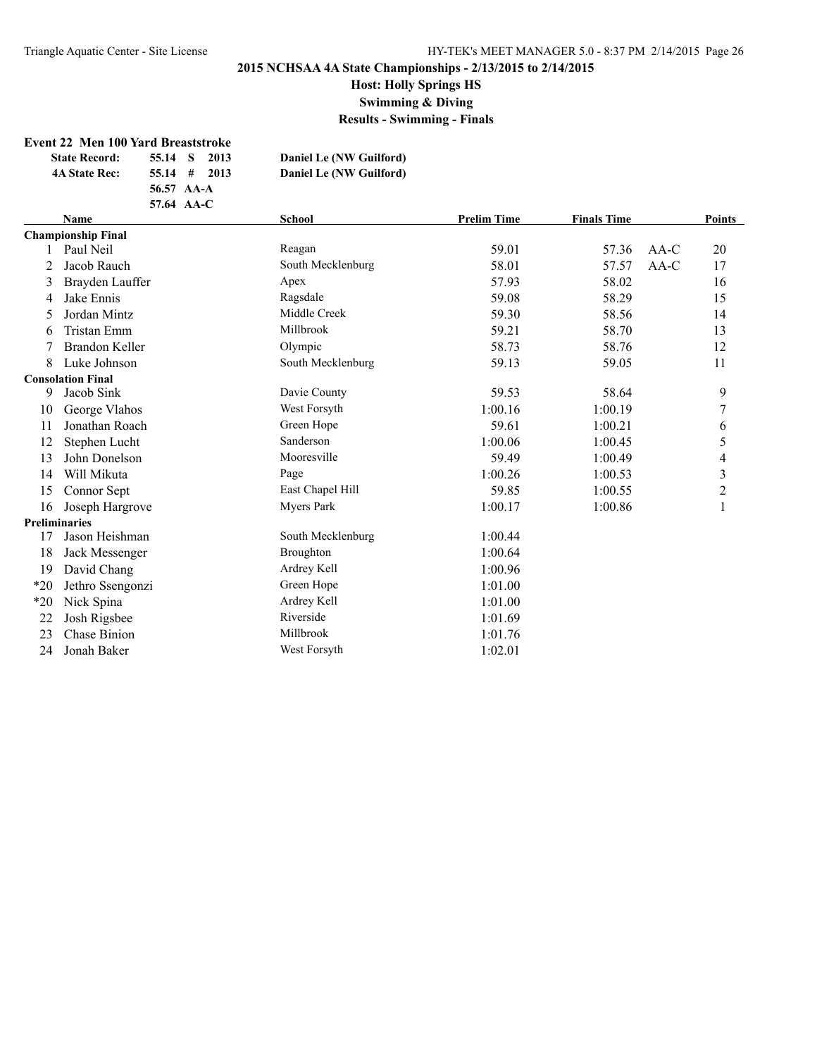**Host: Holly Springs HS**

**Swimming & Diving**

**Results - Swimming - Finals**

#### **Event 22 Men 100 Yard Breaststroke**

| <b>State Record:</b> | 55.14 S 2013   | Daniel Le (NW Guilford) |
|----------------------|----------------|-------------------------|
| <b>4A State Rec:</b> | $55.14$ # 2013 | Daniel Le (NW Guilford) |
|                      | 56.57 AA-A     |                         |
|                      | 57.64 AA-C     |                         |

|       | <b>Name</b>               | <b>School</b>     | <b>Prelim Time</b> | <b>Finals Time</b> |        | <b>Points</b>           |
|-------|---------------------------|-------------------|--------------------|--------------------|--------|-------------------------|
|       | <b>Championship Final</b> |                   |                    |                    |        |                         |
|       | Paul Neil                 | Reagan            | 59.01              | 57.36              | $AA-C$ | 20                      |
|       | Jacob Rauch               | South Mecklenburg | 58.01              | 57.57              | AA-C   | 17                      |
| 3     | Brayden Lauffer           | Apex              | 57.93              | 58.02              |        | 16                      |
| 4     | Jake Ennis                | Ragsdale          | 59.08              | 58.29              |        | 15                      |
| 5     | Jordan Mintz              | Middle Creek      | 59.30              | 58.56              |        | 14                      |
| 6     | Tristan Emm               | Millbrook         | 59.21              | 58.70              |        | 13                      |
|       | <b>Brandon Keller</b>     | Olympic           | 58.73              | 58.76              |        | 12                      |
| 8     | Luke Johnson              | South Mecklenburg | 59.13              | 59.05              |        | 11                      |
|       | <b>Consolation Final</b>  |                   |                    |                    |        |                         |
| 9     | Jacob Sink                | Davie County      | 59.53              | 58.64              |        | 9                       |
| 10    | George Vlahos             | West Forsyth      | 1:00.16            | 1:00.19            |        | 7                       |
| 11    | Jonathan Roach            | Green Hope        | 59.61              | 1:00.21            |        | 6                       |
| 12    | Stephen Lucht             | Sanderson         | 1:00.06            | 1:00.45            |        | 5                       |
| 13    | John Donelson             | Mooresville       | 59.49              | 1:00.49            |        | 4                       |
| 14    | Will Mikuta               | Page              | 1:00.26            | 1:00.53            |        | 3                       |
| 15    | Connor Sept               | East Chapel Hill  | 59.85              | 1:00.55            |        | $\overline{\mathbf{c}}$ |
| 16    | Joseph Hargrove           | Myers Park        | 1:00.17            | 1:00.86            |        |                         |
|       | <b>Preliminaries</b>      |                   |                    |                    |        |                         |
| 17    | Jason Heishman            | South Mecklenburg | 1:00.44            |                    |        |                         |
| 18    | Jack Messenger            | <b>Broughton</b>  | 1:00.64            |                    |        |                         |
| 19    | David Chang               | Ardrey Kell       | 1:00.96            |                    |        |                         |
| $*20$ | Jethro Ssengonzi          | Green Hope        | 1:01.00            |                    |        |                         |
| $*20$ | Nick Spina                | Ardrey Kell       | 1:01.00            |                    |        |                         |
| 22    | Josh Rigsbee              | Riverside         | 1:01.69            |                    |        |                         |
| 23    | Chase Binion              | Millbrook         | 1:01.76            |                    |        |                         |
| 24    | Jonah Baker               | West Forsyth      | 1:02.01            |                    |        |                         |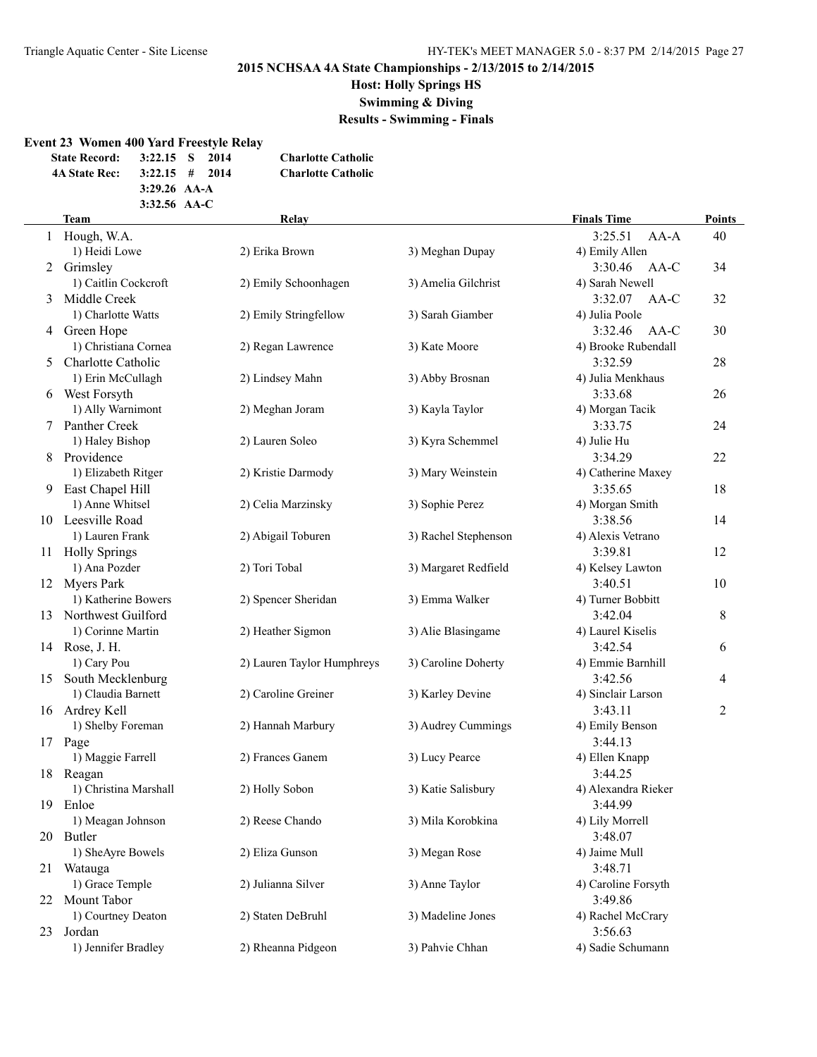#### **Host: Holly Springs HS**

**Swimming & Diving**

**Results - Swimming - Finals**

#### **Event 23 Women 400 Yard Freestyle Relay**

| <b>State Record:</b> | 3:22.15 S      | 2014 | <b>Charlotte Catholic</b> |
|----------------------|----------------|------|---------------------------|
| <b>4A State Rec:</b> | $3:22.15$ #    | 2014 | <b>Charlotte Catholic</b> |
|                      | $3:29.26$ AA-A |      |                           |
|                      | $3:32.56$ AA-C |      |                           |

### **Team Relay Finals Time Points** 1 Hough, W.A. 3:25.51 AA-A 40 1) Heidi Lowe 2) Erika Brown 3) Meghan Dupay 4) Emily Allen 2 Grimsley 3:30.46 AA-C 34 1) Caitlin Cockcroft 2) Emily Schoonhagen 3) Amelia Gilchrist 4) Sarah Newell 3 Middle Creek 3:32.07 AA-C 32 1) Charlotte Watts 2) Emily Stringfellow 3) Sarah Giamber 4) Julia Poole 4 Green Hope 3:32.46 AA-C 30 1) Christiana Cornea 2) Regan Lawrence 3) Kate Moore 4) Brooke Rubendall 5 Charlotte Catholic 3:32.59 28 1) Erin McCullagh 2) Lindsey Mahn 3) Abby Brosnan 4) Julia Menkhaus 6 West Forsyth 3:33.68 26 1) Ally Warnimont 2) Meghan Joram 3) Kayla Taylor 4) Morgan Tacik 7 Panther Creek 3:33.75 24 1) Haley Bishop 2) Lauren Soleo 3) Kyra Schemmel 4) Julie Hu 8 Providence 3:34.29 22 1) Elizabeth Ritger 2) Kristie Darmody 3) Mary Weinstein 4) Catherine Maxey 9 East Chapel Hill 3:35.65 18 1) Anne Whitsel 2) Celia Marzinsky 3) Sophie Perez 4) Morgan Smith 10 Leesville Road 3:38.56 14 1) Lauren Frank 2) Abigail Toburen 3) Rachel Stephenson 4) Alexis Vetrano 11 Holly Springs 3:39.81 12 1) Ana Pozder 2) Tori Tobal 3) Margaret Redfield 4) Kelsey Lawton 12 Myers Park 3:40.51 10 1) Katherine Bowers 2) Spencer Sheridan 3) Emma Walker 4) Turner Bobbitt 13 Northwest Guilford 3:42.04 8 1) Corinne Martin 2) Heather Sigmon 3) Alie Blasingame 4) Laurel Kiselis 14 Rose, J. H. 3:42.54 6 1) Cary Pou 2) Lauren Taylor Humphreys 3) Caroline Doherty 4) Emmie Barnhill 15 South Mecklenburg 3:42.56 4 1) Claudia Barnett 2) Caroline Greiner 3) Karley Devine 4) Sinclair Larson 16 Ardrey Kell 2 3:43.11 2 3:43.11 1) Shelby Foreman 2) Hannah Marbury 3) Audrey Cummings 4) Emily Benson 17 Page 3:44.13 1) Maggie Farrell 2) Frances Ganem 3) Lucy Pearce 4) Ellen Knapp 18 Reagan 3:44.25 1) Christina Marshall 2) Holly Sobon 3) Katie Salisbury 4) Alexandra Rieker 19 Enloe 3:44.99 1) Meagan Johnson 2) Reese Chando 3) Mila Korobkina 4) Lily Morrell 20 Butler 3:48.07 1) SheAyre Bowels 2) Eliza Gunson 3) Megan Rose 4) Jaime Mull 21 Watauga 3:48.71 1) Grace Temple 2) Julianna Silver 3) Anne Taylor 4) Caroline Forsyth 22 Mount Tabor 3:49.86 1) Courtney Deaton 2) Staten DeBruhl 3) Madeline Jones 4) Rachel McCrary 23 Jordan 3:56.63 1) Jennifer Bradley 2) Rheanna Pidgeon 3) Pahvie Chhan 4) Sadie Schumann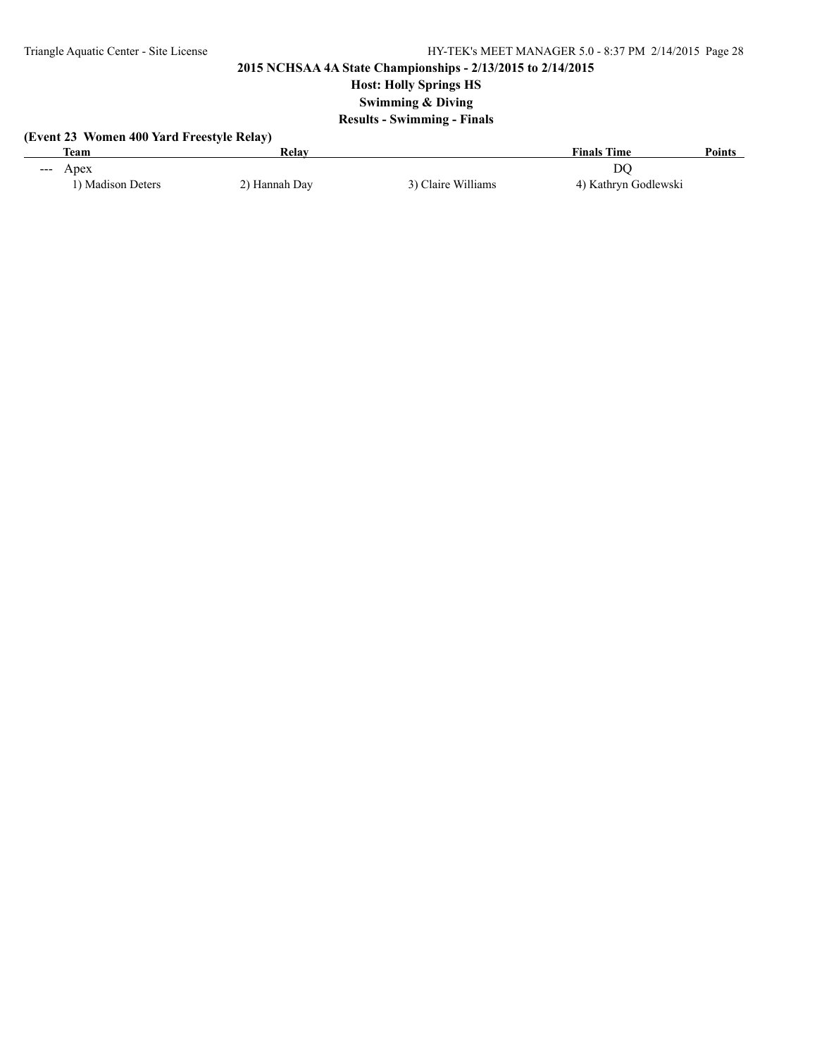# **Host: Holly Springs HS**

**Swimming & Diving**

## **Results - Swimming - Finals**

| (Event 23 Women 400 Yard Freestyle Relay) |               |                    |                      |        |  |  |  |
|-------------------------------------------|---------------|--------------------|----------------------|--------|--|--|--|
| Team                                      | Relav         |                    | <b>Finals Time</b>   | Points |  |  |  |
| $-\lambda$ $\alpha$                       |               |                    | DΟ                   |        |  |  |  |
| 1) Madison Deters                         | 2) Hannah Day | 3) Claire Williams | 4) Kathryn Godlewski |        |  |  |  |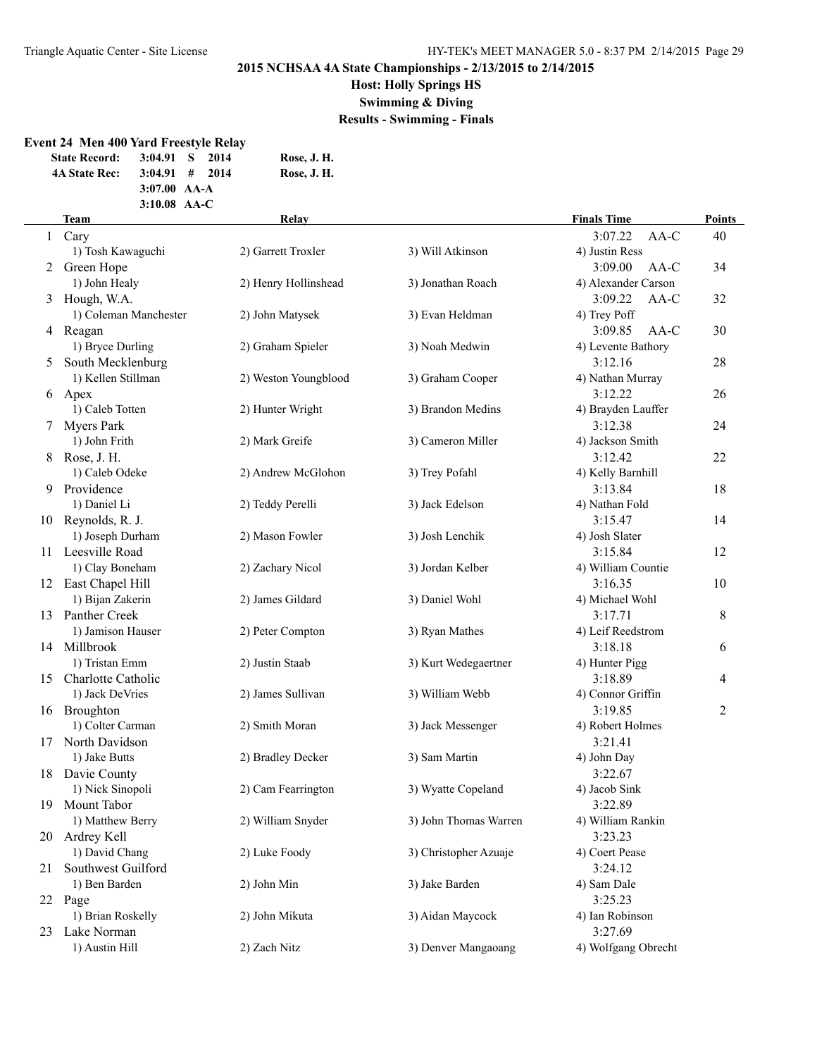## **Host: Holly Springs HS**

**Swimming & Diving**

**Results - Swimming - Finals**

## **Event 24 Men 400 Yard Freestyle Relay**

| <b>State Record:</b> |                | $3:04.91$ S 2014             | Rose, J. H. |
|----------------------|----------------|------------------------------|-------------|
| <b>4A State Rec:</b> |                | $3:04.91 \quad # \quad 2014$ | Rose, J. H. |
|                      | $3:07.00$ AA-A |                              |             |
|                      | $3:10.08$ AA-C |                              |             |

|              | <b>Team</b>           | Relay                |                       | <b>Finals Time</b>  | <b>Points</b>  |
|--------------|-----------------------|----------------------|-----------------------|---------------------|----------------|
| $\mathbf{1}$ | Cary                  |                      |                       | AA-C<br>3:07.22     | 40             |
|              | 1) Tosh Kawaguchi     | 2) Garrett Troxler   | 3) Will Atkinson      | 4) Justin Ress      |                |
| 2            | Green Hope            |                      |                       | 3:09.00<br>$AA-C$   | 34             |
|              | 1) John Healy         | 2) Henry Hollinshead | 3) Jonathan Roach     | 4) Alexander Carson |                |
| 3            | Hough, W.A.           |                      |                       | 3:09.22<br>AA-C     | 32             |
|              | 1) Coleman Manchester | 2) John Matysek      | 3) Evan Heldman       | 4) Trey Poff        |                |
|              | 4 Reagan              |                      |                       | 3:09.85<br>AA-C     | 30             |
|              | 1) Bryce Durling      | 2) Graham Spieler    | 3) Noah Medwin        | 4) Levente Bathory  |                |
| 5            | South Mecklenburg     |                      |                       | 3:12.16             | 28             |
|              | 1) Kellen Stillman    | 2) Weston Youngblood | 3) Graham Cooper      | 4) Nathan Murray    |                |
| 6            | Apex                  |                      |                       | 3:12.22             | 26             |
|              | 1) Caleb Totten       | 2) Hunter Wright     | 3) Brandon Medins     | 4) Brayden Lauffer  |                |
|              | <b>Myers Park</b>     |                      |                       | 3:12.38             | 24             |
|              | 1) John Frith         | 2) Mark Greife       | 3) Cameron Miller     | 4) Jackson Smith    |                |
|              | 8 Rose, J. H.         |                      |                       | 3:12.42             | 22             |
|              | 1) Caleb Odeke        | 2) Andrew McGlohon   | 3) Trey Pofahl        | 4) Kelly Barnhill   |                |
| 9            | Providence            |                      |                       | 3:13.84             | 18             |
|              | 1) Daniel Li          | 2) Teddy Perelli     | 3) Jack Edelson       | 4) Nathan Fold      |                |
|              | 10 Reynolds, R. J.    |                      |                       | 3:15.47             | 14             |
|              | 1) Joseph Durham      | 2) Mason Fowler      | 3) Josh Lenchik       | 4) Josh Slater      |                |
|              | 11 Leesville Road     |                      |                       | 3:15.84             | 12             |
|              | 1) Clay Boneham       | 2) Zachary Nicol     | 3) Jordan Kelber      | 4) William Countie  |                |
|              | 12 East Chapel Hill   |                      |                       | 3:16.35             | 10             |
|              | 1) Bijan Zakerin      | 2) James Gildard     | 3) Daniel Wohl        | 4) Michael Wohl     |                |
|              | 13 Panther Creek      |                      |                       | 3:17.71             | 8              |
|              | 1) Jamison Hauser     | 2) Peter Compton     | 3) Ryan Mathes        | 4) Leif Reedstrom   |                |
|              | 14 Millbrook          |                      |                       | 3:18.18             | 6              |
|              | 1) Tristan Emm        | 2) Justin Staab      | 3) Kurt Wedegaertner  | 4) Hunter Pigg      |                |
|              | 15 Charlotte Catholic |                      |                       | 3:18.89             | 4              |
|              | 1) Jack DeVries       | 2) James Sullivan    | 3) William Webb       | 4) Connor Griffin   |                |
|              | 16 Broughton          |                      |                       | 3:19.85             | $\overline{c}$ |
|              | 1) Colter Carman      | 2) Smith Moran       | 3) Jack Messenger     | 4) Robert Holmes    |                |
| 17           | North Davidson        |                      |                       | 3:21.41             |                |
|              | 1) Jake Butts         | 2) Bradley Decker    | 3) Sam Martin         | 4) John Day         |                |
|              | 18 Davie County       |                      |                       | 3:22.67             |                |
|              | 1) Nick Sinopoli      | 2) Cam Fearrington   | 3) Wyatte Copeland    | 4) Jacob Sink       |                |
| 19           | Mount Tabor           |                      |                       | 3:22.89             |                |
|              | 1) Matthew Berry      | 2) William Snyder    | 3) John Thomas Warren | 4) William Rankin   |                |
|              | 20 Ardrey Kell        |                      |                       | 3:23.23             |                |
|              | 1) David Chang        | 2) Luke Foody        | 3) Christopher Azuaje | 4) Coert Pease      |                |
| 21           | Southwest Guilford    |                      |                       | 3:24.12             |                |
|              | 1) Ben Barden         | 2) John Min          | 3) Jake Barden        | 4) Sam Dale         |                |
|              | 22 Page               |                      |                       | 3:25.23             |                |
|              | 1) Brian Roskelly     | 2) John Mikuta       | 3) Aidan Maycock      | 4) Ian Robinson     |                |
| 23           | Lake Norman           |                      |                       | 3:27.69             |                |
|              | 1) Austin Hill        | 2) Zach Nitz         | 3) Denver Mangaoang   | 4) Wolfgang Obrecht |                |